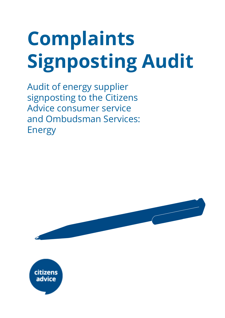# **Complaints Signposting Audit**

Audit of energy supplier signposting to the Citizens Advice consumer service and Ombudsman Services: Energy



advice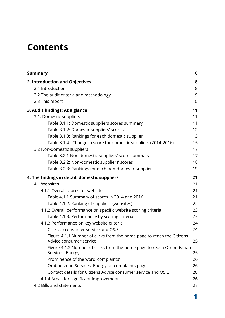# **Contents**

| <b>Summary</b>                                                                                     | 6  |
|----------------------------------------------------------------------------------------------------|----|
| 2. Introduction and Objectives                                                                     | 8  |
| 2.1 Introduction                                                                                   | 8  |
| 2.2 The audit criteria and methodology                                                             | 9  |
| 2.3 This report                                                                                    | 10 |
| 3. Audit findings: At a glance                                                                     | 11 |
| 3.1. Domestic suppliers                                                                            | 11 |
| Table 3.1.1: Domestic suppliers scores summary                                                     | 11 |
| Table 3.1.2: Domestic suppliers' scores                                                            | 12 |
| Table 3.1.3: Rankings for each domestic supplier                                                   | 13 |
| Table 3.1.4: Change in score for domestic suppliers (2014-2016)                                    | 15 |
| 3.2 Non-domestic suppliers                                                                         | 17 |
| Table 3.2.1 Non domestic suppliers' score summary                                                  | 17 |
| Table 3.2.2: Non-domestic suppliers' scores                                                        | 18 |
| Table 3.2.3: Rankings for each non-domestic supplier                                               | 19 |
| 4. The findings in detail: domestic suppliers                                                      | 21 |
| 4.1 Websites                                                                                       | 21 |
| 4.1.1 Overall scores for websites                                                                  | 21 |
| Table 4.1.1 Summary of scores in 2014 and 2016                                                     | 21 |
| Table 4.1.2: Ranking of suppliers (websites)                                                       | 22 |
| 4.1.2 Overall performance on specific website scoring criteria                                     | 23 |
| Table 4.1.3: Performance by scoring criteria                                                       | 23 |
| 4.1.3 Performance on key website criteria                                                          | 24 |
| Clicks to consumer service and OS:E                                                                | 24 |
| Figure 4.1.1. Number of clicks from the home page to reach the Citizens<br>Advice consumer service | 25 |
| Figure 4.1.2 Number of clicks from the home page to reach Ombudsman<br>Services: Energy            | 25 |
| Prominence of the word 'complaints'                                                                | 26 |
| Ombudsman Services: Energy on complaints page                                                      | 26 |
| Contact details for Citizens Advice consumer service and OS:E                                      | 26 |
| 4.1.4 Areas for significant improvement                                                            | 26 |
| 4.2 Bills and statements                                                                           | 27 |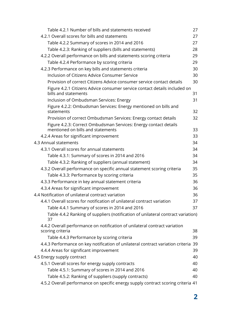| Table 4.2.1 Number of bills and statements received                                                   | 27 |
|-------------------------------------------------------------------------------------------------------|----|
| 4.2.1 Overall scores for bills and statements                                                         | 27 |
| Table 4.2.2 Summary of scores in 2014 and 2016                                                        | 27 |
| Table 4.2.3: Ranking of suppliers (bills and statements)                                              | 28 |
| 4.2.2 Overall performance on bills and statements scoring criteria                                    | 29 |
| Table 4.2.4 Performance by scoring criteria                                                           | 29 |
| 4.2.3 Performance on key bills and statements criteria                                                | 30 |
| Inclusion of Citizens Advice Consumer Service                                                         | 30 |
| Provision of correct Citizens Advice consumer service contact details                                 | 30 |
| Figure 4.2.1 Citizens Advice consumer service contact details included on<br>bills and statements     | 31 |
| Inclusion of Ombudsman Services: Energy                                                               | 31 |
| Figure 4.2.2: Ombudsman Services: Energy mentioned on bills and<br>statements                         | 32 |
| Provision of correct Ombudsman Services: Energy contact details                                       | 32 |
| Figure 4.2.3: Correct Ombudsman Services: Energy contact details<br>mentioned on bills and statements | 33 |
| 4.2.4 Areas for significant improvement                                                               | 33 |
| 4.3 Annual statements                                                                                 | 34 |
| 4.3.1 Overall scores for annual statements                                                            | 34 |
| Table 4.3.1: Summary of scores in 2014 and 2016                                                       | 34 |
| Table 4.3.2: Ranking of suppliers (annual statement)                                                  | 34 |
| 4.3.2 Overall performance on specific annual statement scoring criteria                               | 35 |
| Table 4.3.3: Performance by scoring criteria                                                          | 35 |
| 4.3.3 Performance in key annual statement criteria                                                    | 36 |
| 4.3.4 Areas for significant improvement                                                               | 36 |
| 4.4 Notification of unilateral contract variation                                                     | 36 |
| 4.4.1 Overall scores for notification of unilateral contract variation                                | 37 |
| Table 4.4.1 Summary of scores in 2014 and 2016                                                        | 37 |
| Table 4.4.2 Ranking of suppliers (notification of unilateral contract variation)<br>37                |    |
| 4.4.2 Overall performance on notification of unilateral contract variation                            |    |
| scoring criteria                                                                                      | 38 |
| Table 4.4.3 Performance by scoring criteria                                                           | 39 |
| 4.4.3 Performance on key notification of unilateral contract variation criteria                       | 39 |
| 4.4.4 Areas for significant improvement                                                               | 39 |
| 4.5 Energy supply contract                                                                            | 40 |
| 4.5.1 Overall scores for energy supply contracts                                                      | 40 |
| Table 4.5.1: Summary of scores in 2014 and 2016                                                       | 40 |
| Table 4.5.2: Ranking of suppliers (supply contracts)                                                  | 40 |
| 4.5.2 Overall performance on specific energy supply contract scoring criteria 41                      |    |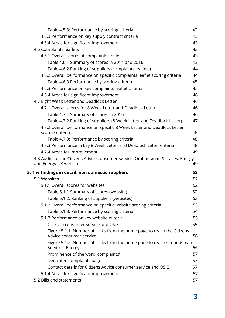| Table 4.5.3: Performance by scoring criteria                                                             | 42 |
|----------------------------------------------------------------------------------------------------------|----|
| 4.5.3 Performance on key supply contract criteria                                                        | 43 |
| 4.5.4 Areas for significant improvement                                                                  | 43 |
| 4.6 Complaints leaflets                                                                                  | 43 |
| 4.6.1 Overall scores of complaints leaflets                                                              | 43 |
| Table 4.6.1 Summary of scores in 2014 and 2016                                                           | 43 |
| Table 4.6.2 Ranking of suppliers (complaints leaflets)                                                   | 44 |
| 4.6.2 Overall performance on specific complaints leaflet scoring criteria                                | 44 |
| Table 4.6.3 Performance by scoring criteria                                                              | 45 |
| 4.6.3 Performance on key complaints leaflet criteria                                                     | 45 |
| 4.6.4 Areas for significant improvement                                                                  | 46 |
| 4.7 Eight Week Letter and Deadlock Letter                                                                | 46 |
| 4.7.1 Overall scores for 8 Week Letter and Deadlock Letter                                               | 46 |
| Table 4.7.1 Summary of scores in 2016                                                                    | 46 |
| Table 4.7.2 Ranking of suppliers (8 Week Letter and Deadlock Letter)                                     | 47 |
| 4.7.2 Overall performance on specific 8 Week Letter and Deadlock Letter<br>scoring criteria              | 48 |
| Table 4.7.3: Performance by scoring criteria                                                             | 48 |
| 4.7.3 Performance in key 8 Week Letter and Deadlock Letter criteria                                      | 48 |
| 4.7.4 Areas for improvement                                                                              | 49 |
|                                                                                                          |    |
| 4.8 Audits of the Citizens Advice consumer service, Ombudsman Services: Energy<br>and Energy UK websites | 49 |
| 5. The findings in detail: non domestic suppliers                                                        | 52 |
| 5.1 Websites                                                                                             | 52 |
| 5.1.1 Overall scores for websites                                                                        | 52 |
| Table 5.1.1 Summary of scores (website)                                                                  | 52 |
| Table 5.1.2: Ranking of suppliers (websites)                                                             | 53 |
| 5.1.2 Overall performance on specific website scoring criteria                                           | 53 |
| Table 5.1.3: Performance by scoring criteria                                                             | 54 |
| 5.1.3 Performance on key website criteria                                                                | 55 |
| Clicks to consumer service and OS:E                                                                      | 55 |
| Figure 5.1.1: Number of clicks from the home page to reach the Citizens<br>Advice consumer service       | 56 |
| Figure 5.1.2: Number of clicks from the home page to reach Ombudsman<br>Services: Energy                 | 56 |
| Prominence of the word 'complaints'                                                                      | 57 |
| Dedicated complaints page                                                                                | 57 |
| Contact details for Citizens Advice consumer service and OS:E                                            | 57 |
| 5.1.4 Areas for significant improvement                                                                  | 57 |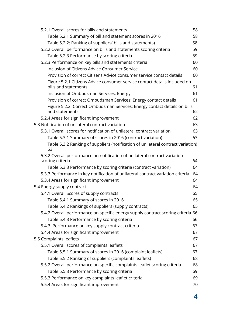| 5.2.1 Overall scores for bills and statements                                                     | 58 |
|---------------------------------------------------------------------------------------------------|----|
| Table 5.2.1 Summary of bill and statement scores in 2016                                          | 58 |
| Table 5.2.2: Ranking of suppliers( bills and statements)                                          | 58 |
| 5.2.2 Overall performance on bills and statements scoring criteria                                | 59 |
| Table 5.2.3 Performance by scoring criteria                                                       | 59 |
| 5.2.3 Performance on key bills and statements criteria                                            | 60 |
| Inclusion of Citizens Advice Consumer Service                                                     | 60 |
| Provision of correct Citizens Advice consumer service contact details                             | 60 |
| Figure 5.2.1 Citizens Advice consumer service contact details included on<br>bills and statements | 61 |
| Inclusion of Ombudsman Services: Energy                                                           | 61 |
| Provision of correct Ombudsman Services: Energy contact details                                   | 61 |
| Figure 5.2.2: Correct Ombudsman Services: Energy contact details on bills<br>and statements       | 62 |
| 5.2.4 Areas for significant improvement                                                           | 62 |
| 5.3 Notification of unilateral contract variation                                                 | 63 |
| 5.3.1 Overall scores for notification of unilateral contract variation                            | 63 |
| Table 5.3.1 Summary of scores in 2016 (contract variation)                                        | 63 |
| Table 5.3.2 Ranking of suppliers (notification of unilateral contract variation)<br>63            |    |
| 5.3.2 Overall performance on notification of unilateral contract variation<br>scoring criteria    | 64 |
| Table 5.3.3 Performance by scoring criteria (contract variation)                                  | 64 |
| 5.3.3 Performance in key notification of unilateral contract variation criteria                   | 64 |
| 5.3.4 Areas for significant improvement                                                           | 64 |
| 5.4 Energy supply contract                                                                        | 64 |
| 5.4.1 Overall Scores of supply contracts                                                          | 65 |
| Table 5.4.1 Summary of scores in 2016                                                             | 65 |
| Table 5.4.2 Rankings of suppliers (supply contracts)                                              | 65 |
| 5.4.2 Overall performance on specific energy supply contract scoring criteria 66                  |    |
| Table 5.4.3 Performance by scoring criteria                                                       | 66 |
| 5.4.3 Performance on key supply contract criteria                                                 | 67 |
| 5.4.4 Areas for significant improvement                                                           | 67 |
| 5.5 Complaints leaflets                                                                           | 67 |
| 5.5.1 Overall scores of complaints leaflets                                                       | 67 |
| Table 5.5.1 Summary of scores in 2016 (complaint leaflets)                                        | 67 |
| Table 5.5.2 Ranking of suppliers (complaints leaflets)                                            | 68 |
| 5.5.2 Overall performance on specific complaints leaflet scoring criteria                         | 68 |
| Table 5.5.3 Performance by scoring criteria                                                       | 69 |
| 5.5.3 Performance on key complaints leaflet criteria                                              | 69 |
| 5.5.4 Areas for significant improvement                                                           | 70 |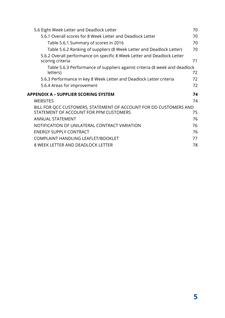| 5.6 Eight Week Letter and Deadlock Letter                                                   | 70 |
|---------------------------------------------------------------------------------------------|----|
| 5.6.1 Overall scores for 8 Week Letter and Deadlock Letter                                  | 70 |
| Table 5.6.1 Summary of scores in 2016                                                       | 70 |
| Table 5.6.2 Ranking of suppliers (8 Week Letter and Deadlock Letter)                        | 70 |
| 5.6.2 Overall performance on specific 8 Week Letter and Deadlock Letter<br>scoring criteria | 71 |
| Table 5.6.3 Performance of suppliers against criteria (8 week and deadlock<br>letters)      | 72 |
| 5.6.3 Performance in key 8 Week Letter and Deadlock Letter criteria                         | 72 |
| 5.6.4 Areas for improvement                                                                 | 72 |
|                                                                                             |    |
|                                                                                             | 74 |
| <b>WEBSITES</b>                                                                             | 74 |
| BILL FOR QCC CUSTOMERS, STATEMENT OF ACCOUNT FOR DD CUSTOMERS AND                           |    |
| STATEMENT OF ACCOUNT FOR PPM CUSTOMERS                                                      | 75 |
| <b>ANNUAL STATEMENT</b>                                                                     | 76 |
| NOTIFICATION OF UNILATERAL CONTRACT VARIATION                                               | 76 |
| APPENDIX A – SUPPLIER SCORING SYSTEM<br><b>ENERGY SUPPLY CONTRACT</b>                       | 76 |
| COMPLAINT HANDLING LEAFLET/BOOKLET                                                          | 77 |
| 8 WEEK LETTER AND DEADLOCK LETTER                                                           | 78 |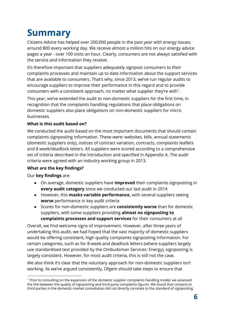# <span id="page-6-0"></span>**Summary**

Citizens Advice has helped over 200,000 people in the past year with energy issues; around 800 every working day. We receive almost a million hits on our energy advice pages a year - over 100 visits an hour. Clearly, consumers are not always satisfied with the service and information they receive.

It's therefore important that suppliers adequately signpost consumers to their complaints processes and maintain up to date information about the support services that are available to consumers. That's why, since 2013, we've run regular audits to encourage suppliers to improve their performance in this regard and to provide consumers with a consistent approach, no matter what supplier they're with $^1$ .

This year, we've extended the audit to non-domestic suppliers for the first time, in recognition that the complaints handling regulations that place obligations on domestic suppliers also place obligations on non-domestic suppliers for micro businesses.

#### **What is this audit based on?**

We conducted the audit based on the most important documents that should contain complaints signposting information. These were: websites, bills, annual statements (domestic suppliers only), notices of contract variation, contracts, complaints leaflets and 8 week/deadlock letters. All suppliers were scored according to a comprehensive set of criteria described in the Introduction and specified in Appendix A. The audit criteria were agreed with an industry working group in 2013.

#### **What are the key findings?**

Our **key findings** are:

- On average, domestic suppliers have **improved** their complaints signposting in **every audit category** since we conducted our last audit in 2014
- However, this **masks variable performance,** with several suppliers seeing **worse** performance in key audit criteria
- Scores for non-domestic suppliers are **consistently worse** than for domestic suppliers, with some suppliers providing **almost no signposting to complaints processes and support services** for their consumers at all

Overall, we find welcome signs of improvement. However, after three years of undertaking this audit, we had hoped that the vast majority of domestic suppliers would be offering consistent, high quality complaints signposting information. For certain categories, such as for 8-week and deadlock letters (where suppliers largely use standardised text provided by the Ombudsman Services: Energy), signposting is largely consistent. However, for most audit criteria, this is still not the case.

We also think it's clear that the voluntary approach for non-domestic suppliers isn't working. As we've argued consistently, Ofgem should take steps to ensure that

 $1$  Prior to consulting on the expansion of the domestic supplier complaints handling model, we assessed the link between the quality of signposting and third party complaints figures. We found that contacts to third parties in the domestic market consultation did not directly correlate to the standard of signposting.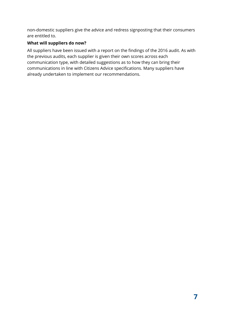non-domestic suppliers give the advice and redress signposting that their consumers are entitled to.

#### **What will suppliers do now?**

All suppliers have been issued with a report on the findings of the 2016 audit. As with the previous audits, each supplier is given their own scores across each communication type, with detailed suggestions as to how they can bring their communications in line with Citizens Advice specifications. Many suppliers have already undertaken to implement our recommendations.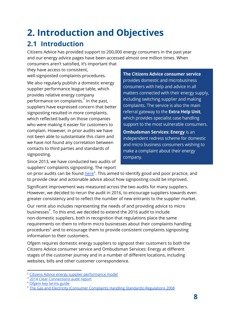# <span id="page-8-0"></span>**2. Introduction and Objectives**

### <span id="page-8-1"></span>**2.1 Introduction**

Citizens Advice has provided support to 200,000 energy consumers in the past year and our energy advice pages have been accessed almost one million times. When consumers aren't satisfied, it's important that

they have access to consistent, well-signposted complaints procedures.

We also regularly publish a domestic energy supplier performance league table, which provides relative energy company performance on complaints.<sup>2</sup> In the past, suppliers have expressed concern that better signposting resulted in more complaints, which reflected badly on those companies who were making it easier for customers to complain. However, in prior audits we have not been able to substantiate this claim and we have not found any correlation between contacts to third parties and standards of signposting.

Since 2013, we have conducted two audits of suppliers' complaints signposting. The report The Citizens Advice consumer service provides domestic and microbusiness consumers with help and advice in all matters connected with their energy supply, including switching supplier and making complaints. The service is also the main referral gateway to the Extra Help Unit, which provides specialist case handling support to the most vulnerable consumers.

**Ombudsman Services: Energy is an** independent redress scheme for domestic and micro business consumers wishing to make a complaint about their energy company.

on prior audits can be found [here](https://www.citizensadvice.org.uk/about-us/policy/policy-research-topics/energy-policy-research-and-consultation-responses/energy-policy-research/clear-connections/)<sup>3</sup>. This aimed to identify good and poor practice, and to provide clear and actionable advice about how signposting could be improved.

Significant improvement was measured across the two audits for many suppliers. However, we decided to rerun the audit in 2016, to encourage suppliers towards even greater consistency and to reflect the number of new entrants to the supplier market.

Our remit also includes representing the needs of and providing advice to micro businesses<sup>4</sup>. To this end, we decided to extend the 2016 audit to include non-domestic suppliers, both in recognition that regulations place the same requirements on them to inform micro businesses about their complaints handling procedures<sup>5</sup> and to encourage them to provide consistent complaints signposting information to their customers.

Ofgem requires domestic energy suppliers to signpost their customers to both the Citizens Advice consumer service and Ombudsman Services: Energy at different stages of the customer journey and in a number of different locations, including websites, bills and other customer correspondence.

<sup>&</sup>lt;sup>2</sup> [Citizens Advice energy supplier performance model](http://www.citizensadvice.org.uk/index/aboutus/consumer-work/energy_supplier_performance.htm)

<sup>&</sup>lt;sup>3</sup> [2014 Clear Connections audit report](https://www.citizensadvice.org.uk/about-us/policy/policy-research-topics/energy-policy-research-and-consultation-responses/energy-policy-research/clear-connections/)

<sup>4</sup> [Ofgem key terms guide](https://www.ofgem.gov.uk/information-consumers/business-consumers/key-terms-and-issues-explained?alpha=M)

<sup>5</sup> [The Gas and Electricity \(Consumer Complaints Handling Standards\) Regulations 2008](http://www.legislation.gov.uk/uksi/2008/1898/pdfs/uksi_20081898_en.pdf)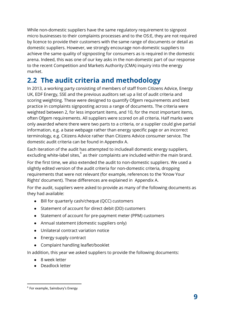While non-domestic suppliers have the same regulatory requirement to signpost micro businesses to their complaints processes and to the OS:E, they are not required by licence to provide their customers with the same range of documents or detail as domestic suppliers. However, we strongly encourage non-domestic suppliers to achieve the same quality of signposting for consumers as is required in the domestic arena. Indeed, this was one of our key asks in the non-domestic part of our response to the recent Competition and Markets Authority (CMA) inquiry into the energy market.

# <span id="page-9-0"></span>**2.2 The audit criteria and methodology**

In 2013, a working party consisting of members of staff from Citizens Advice, Energy UK, EDF Energy, SSE and the previous auditors set up a list of audit criteria and scoring weighting. These were designed to quantify Ofgem requirements and best practice in complaints signposting across a range of documents. The criteria were weighted between 2, for less important items, and 10, for the most important items, often Ofgem requirements. All suppliers were scored on all criteria. Half marks were only awarded where there were two parts to a criteria, or a supplier could give partial information, e.g. a base webpage rather than energy specific page or an incorrect terminology, e.g. Citizens Advice rather than Citizens Advice consumer service. The domestic audit criteria can be found in Appendix A.

Each iteration of the audit has attempted to includeall domestic energy suppliers, excluding white-label sites, $<sup>6</sup>$  as their complaints are included within the main brand.</sup>

For the first time, we also extended the audit to non-domestic suppliers. We used a slightly edited version of the audit criteria for non-domestic criteria, dropping requirements that were not relevant (for example, references to the 'Know Your Rights' document). These differences are explained in Appendix A.

For the audit, suppliers were asked to provide as many of the following documents as they had available:

- Bill for quarterly cash/cheque (QCC) customers
- Statement of account for direct debit (DD) customers
- Statement of account for pre-payment meter (PPM) customers
- Annual statement (domestic suppliers only)
- Unilateral contract variation notice
- Energy supply contract
- Complaint handling leaflet/booklet

In addition, this year we asked suppliers to provide the following documents:

- 8 week letter
- Deadlock letter

<sup>6</sup> For example, Sainsbury's Energy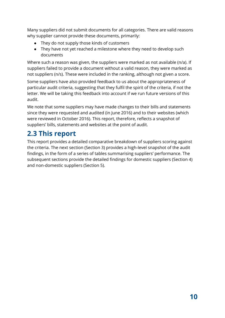Many suppliers did not submit documents for all categories. There are valid reasons why supplier cannot provide these documents, primarily:

- They do not supply those kinds of customers
- They have not yet reached a milestone where they need to develop such documents

Where such a reason was given, the suppliers were marked as not available (n/a). If suppliers failed to provide a document without a valid reason, they were marked as not suppliers (n/s). These were included in the ranking, although not given a score.

Some suppliers have also provided feedback to us about the appropriateness of particular audit criteria, suggesting that they fulfil the spirit of the criteria, if not the letter. We will be taking this feedback into account if we run future versions of this audit.

We note that some suppliers may have made changes to their bills and statements since they were requested and audited (in June 2016) and to their websites (which were reviewed in October 2016). This report, therefore, reflects a snapshot of suppliers' bills, statements and websites at the point of audit.

# <span id="page-10-0"></span>**2.3 This report**

This report provides a detailed comparative breakdown of suppliers scoring against the criteria. The next section (Section 3) provides a high-level snapshot of the audit findings, in the form of a series of tables summarising suppliers' performance. The subsequent sections provide the detailed findings for domestic suppliers (Section 4) and non-domestic suppliers (Section 5).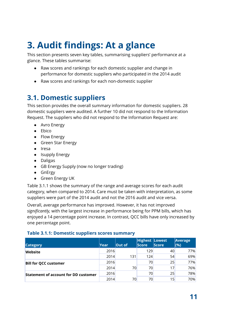# <span id="page-11-0"></span>**3. Audit findings: At a glance**

This section presents seven key tables, summarising suppliers' performance at a glance. These tables summarise:

- Raw scores and rankings for each domestic supplier and change in performance for domestic suppliers who participated in the 2014 audit
- Raw scores and rankings for each non-domestic supplier

### <span id="page-11-1"></span>**3.1. Domestic suppliers**

This section provides the overall summary information for domestic suppliers. 28 domestic suppliers were audited. A further 10 did not respond to the Information Request. The suppliers who did not respond to the Information Request are:

- Avro Energy
- Ebico
- Flow Energy
- Green Star Energy
- Iresa
- Isupply Energy
- Daligas
- GB Energy Supply (now no longer trading)
- GnErgy
- Green Energy UK

Table 3.1.1 shows the summary of the range and average scores for each audit category, when compared to 2014. Care must be taken with interpretation, as some suppliers were part of the 2014 audit and not the 2016 audit and vice versa.

Overall, average performance has improved. However, it has not improved *significantly,* with the largest increase in performance being for PPM bills, which has enjoyed a 14 percentage point increase. In contrast, QCC bills have only increased by one percentage point.

#### <span id="page-11-2"></span>**Table 3.1.1: Domestic suppliers scores summary**

| <b>Category</b>                             | Year | Out of | Highest Lowest<br><b>Score</b> | <b>Score</b> | Average<br>(%) |
|---------------------------------------------|------|--------|--------------------------------|--------------|----------------|
| Website                                     | 2016 |        | 129                            | 40           | 77%            |
|                                             | 2014 | 131    | 124                            | 54           | 69%            |
| <b>Bill for QCC customer</b>                | 2016 |        | 70                             | 25           | 77%            |
|                                             | 2014 | 70     | 70                             | 17           | 76%            |
| <b>Statement of account for DD customer</b> | 2016 |        | 70                             | 25           | 78%            |
|                                             | 2014 | 70     | 70                             | 15           | 70%            |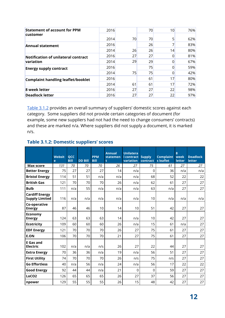| <b>Statement of account for PPM</b>       | 2016 |    | 70 | 10 | 76% |
|-------------------------------------------|------|----|----|----|-----|
| customer                                  | 2014 | 70 | 70 | 5  | 62% |
| <b>Annual statement</b>                   | 2016 |    | 26 |    | 83% |
|                                           | 2014 | 26 | 26 | 14 | 80% |
| Notification of unilateral contract       | 2016 | 27 | 27 | 0  | 81% |
| variation                                 | 2014 | 29 | 29 | 0  | 67% |
| <b>Energy supply contract</b>             | 2016 |    | 75 | 0  | 59% |
|                                           | 2014 | 75 | 75 | 0  | 42% |
| <b>Complaint handling leaflet/booklet</b> | 2016 |    | 61 | 17 | 80% |
|                                           | 2014 | 61 | 61 | 17 | 72% |
| 8 week letter                             | 2016 | 27 | 27 | 22 | 98% |
| <b>Deadlock letter</b>                    | 2016 | 27 | 27 | 22 | 97% |

[Table 3.1.2](#page-12-0) provides an overall summary of suppliers' domestic scores against each category. Some suppliers did not provide certain categories of document (for example, some new suppliers had not had the need to change consumers' contracts) and these are marked n/a. Where suppliers did not supply a document, it is marked n/s.

<span id="page-12-0"></span>

| <b>Table 3.1.2: Domestic suppliers' scores</b> |  |
|------------------------------------------------|--|
|------------------------------------------------|--|

|                                                | Websit<br>e | QCC<br><b>Bill</b> | <b>DD Bill</b> | <b>PPM</b><br><b>Bill</b> | <b>Annual</b><br>statemen<br>t | <b>Unilatera</b><br><b>l</b> contract<br>variation | <b>Supply</b><br>contract | <b>Complaint</b><br>s leaflet | 8<br>week<br><b>letter</b> | <b>Deadlock</b><br>letter |
|------------------------------------------------|-------------|--------------------|----------------|---------------------------|--------------------------------|----------------------------------------------------|---------------------------|-------------------------------|----------------------------|---------------------------|
| <b>Max score</b>                               | 131         | 70                 | 70             | 70                        | 26                             | 27                                                 | 75                        | 61                            | 27                         | 27                        |
| <b>Better Energy</b>                           | 75          | 27                 | 27             | 27                        | 14                             | n/a                                                | $\Omega$                  | 36                            | n/a                        | n/a                       |
| <b>Bristol Energy</b>                          | 114         | 51                 | 51             | n/a                       | n/a                            | n/a                                                | 68                        | 52                            | 22                         | 22                        |
| <b>British Gas</b>                             | 121         | 70                 | 70             | 70                        | 26                             | n/a                                                | 62                        | 61                            | 27                         | 27                        |
| <b>Bulb</b>                                    | 111         | n/a                | 55             | n/a                       | n/a                            | n/a                                                | 63                        | n/a                           | 27                         | 27                        |
| <b>Cardiff Energy</b><br><b>Supply Limited</b> | 116         | n/a                | n/a            | n/a                       | n/a                            | n/a                                                | 10                        | n/a                           | n/a                        | n/a                       |
| Co-operative<br><b>Energy</b>                  | 87          | 46                 | 46             | 10                        | 14                             | 10                                                 | 51                        | 42                            | 27                         | 27                        |
| <b>Economy</b><br><b>Energy</b>                | 124         | 63                 | 63             | 63                        | 14                             | n/a                                                | 10                        | 42                            | 27                         | 27                        |
| <b>Ecotricity</b>                              | 109         | 60                 | 60             | 60                        | 26                             | n/a                                                | 15                        | 61                            | n/a                        | 27                        |
| <b>EDF Energy</b>                              | 121         | 70                 | 70             | 70                        | 26                             | 27                                                 | 75                        | 61                            | 27                         | 27                        |
| <b>E.ON</b>                                    | 106         | 70                 | 70             | 70                        | 21                             | 27                                                 | 75                        | 61                            | 27                         | 27                        |
| <b>E</b> Gas and<br><b>Electric</b>            | 102         | n/a                | n/a            | n/s                       | 26                             | 27                                                 | 22                        | 44                            | 27                         | 27                        |
| <b>Extra Energy</b>                            | 70          | 36                 | 36             | n/a                       | 19                             | n/a                                                | 56                        | 51                            | 27                         | 27                        |
| <b>First Utility</b>                           | 74          | 70                 | 70             | 70                        | 26                             | n/s                                                | 75                        | n/s                           | 27                         | 27                        |
| <b>Go Effortless</b>                           | 40          | n/a                | 56             | n/a                       | 24                             | n/a                                                | 56                        | 17                            | 22                         | 22                        |
| <b>Good Energy</b>                             | 92          | 44                 | 44             | n/a                       | 21                             | 0                                                  | $\Omega$                  | 59                            | 27                         | 27                        |
| LoCO <sub>2</sub>                              | 126         | 65                 | 65             | 65                        | 26                             | 27                                                 | 37                        | 56                            | 27                         | 27                        |
| npower                                         | 129         | 55                 | 55             | 55                        | 26                             | 15                                                 | 48                        | 42                            | 27                         | 27                        |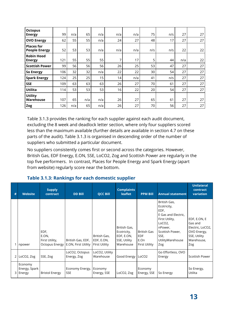| <b>Octopus</b>                            |     |     |     |     |     |     |     |     |     |    |
|-------------------------------------------|-----|-----|-----|-----|-----|-----|-----|-----|-----|----|
| <b>Energy</b>                             | 99  | n/a | 65  | n/a | n/a | n/a | 75  | n/s | 27  | 27 |
| <b>OVO Energy</b>                         | 62  | 55  | 55  | n/a | 24  | 27  | 48  | 17  | 27  | 27 |
| <b>Places for</b><br><b>People Energy</b> | 52  | 53  | 53  | n/a | n/a | n/a | n/s | n/s | 22  | 22 |
| <b>Robin Hood</b><br><b>Energy</b>        | 121 | 55  | 55  | 55  | 7   | 17  | 5   | 44  | n/a | 22 |
| <b>Scottish Power</b>                     | 99  | 56  | 56  | 56  | 26  | 25  | 53  | 47  | 27  | 27 |
| <b>So Energy</b>                          | 106 | 32  | 32  | n/a | 22  | 22  | 30  | 54  | 27  | 27 |
| <b>Spark Energy</b>                       | 124 | 25  | 25  | 15  | 14  | n/a | 41  | n/s | 27  | 27 |
| <b>SSE</b>                                | 109 | 63  | 63  | 63  | 26  | 27  | 70  | 61  | 27  | 27 |
| <b>Utilita</b>                            | 114 | 53  | 53  | 53  | 16  | 22  | 20  | 54  | 27  | 27 |
| <b>Utility</b><br>Warehouse               | 107 | 65  | n/a | n/a | 26  | 27  | 65  | 61  | 27  | 27 |
| Zog                                       | 126 | n/a | 65  | n/a | 26  | 27  | 70  | 56  | 27  | 27 |

Table 3.1.3 provides the ranking for each supplier against each audit document, excluding the 8 week and deadlock letter section, where only four suppliers scored less than the maximum available (further details are available in section 4.7 on these parts of the audit). Table 3.1.3 is organised in descending order of the number of suppliers who submitted a particular document.

No suppliers consistently comes first or second across the categories. However, British Gas, EDF Energy, E.ON, SSE, LoCO2, Zog and Scottish Power are regularly in the top five performers. In contrast, Places for People Energy and Spark Energy (apart from website) regularly score near the bottom.

<span id="page-13-0"></span>

| # | <b>Website</b>                     | <b>Supply</b><br>contract       | <b>DD Bill</b>                                            | <b>QCC Bill</b>                                    | <b>Complaints</b><br><b>leaflet</b>                                    | <b>PPM Bill</b>                                           | <b>Annual statement</b>                                                                                                                                              | <b>Unilateral</b><br>contract<br>variation                                                      |
|---|------------------------------------|---------------------------------|-----------------------------------------------------------|----------------------------------------------------|------------------------------------------------------------------------|-----------------------------------------------------------|----------------------------------------------------------------------------------------------------------------------------------------------------------------------|-------------------------------------------------------------------------------------------------|
|   | 1 npower                           | EDF,<br>E.ON,<br>First Utility, | British Gas, EDF,<br>Octopus Energy   E.ON, First Utility | British Gas,<br>EDF, E.ON,<br><b>First Utility</b> | British Gas,<br>Ecotricity,<br>EDF, E.ON,<br>SSE, Utility<br>Warehouse | British Gas<br><b>EDF</b><br>E.On<br><b>First Utility</b> | British Gas,<br>Ecotricity,<br>EDF,<br>E Gas and Electric,<br>First Utility,<br>LoCO <sub>2</sub> ,<br>nPower,<br>Scottish Power,<br>SSE.<br>UtilityWarehouse<br>Zog | EDF, E.ON, E<br>Gas and<br>Electric, LoCO2,<br>OVO Energy,<br>SSE, Utility<br>Warehouse,<br>Zog |
| 2 | LoCO2, Zog                         | SSE, Zog                        | LoCO2, Octopus<br>Energy, Zog                             | LoCO2, Utility<br>Warehouse                        | Good Energy   LoCO2                                                    |                                                           | Go Effortless, OVO<br>Energy                                                                                                                                         | Scottish Power                                                                                  |
| 3 | Economy<br>Energy, Spark<br>Energy | <b>Bristol Energy</b>           | Economy Energy,<br><b>SSE</b>                             | Economy<br>Energy, SSE                             | LoCO2, Zog                                                             | Economy<br>Energy, SSE                                    | So Energy                                                                                                                                                            | So Energy,<br>Utilita                                                                           |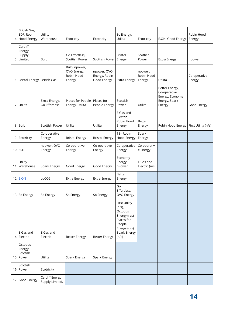| 4  | British Gas,<br>EDF. Robin<br><b>Hood Energy</b> | Utility<br>Warehouse              | Ecotricity                                           | Ecotricity                                         | So Energy,<br>Utilita                                                                                                           | Ecotricity                      | E.ON, Good Energy                                                            | Robin Hood<br>Energy   |
|----|--------------------------------------------------|-----------------------------------|------------------------------------------------------|----------------------------------------------------|---------------------------------------------------------------------------------------------------------------------------------|---------------------------------|------------------------------------------------------------------------------|------------------------|
| 5  | Cardiff<br>Energy<br>Supply<br>Limited           | <b>Bulb</b>                       | Go Effortless,<br>Scottish Power                     | Scottish Power                                     | <b>Bristol</b><br>Energy                                                                                                        | Scottish<br>Power               | <b>Extra Energy</b>                                                          | npower                 |
| 6  | Bristol Energy   British Gas                     |                                   | Bulb, npower,<br>OVO Energy,<br>Robin Hood<br>Energy | npower, OVO<br>Energy, Robin<br><b>Hood Energy</b> | <b>Extra Energy</b>                                                                                                             | npower,<br>Robin Hood<br>Energy | Utilita                                                                      | Co-operative<br>Energy |
| 7  | Utilita                                          | Extra Energy,<br>Go Effortless    | Places for People<br>Energy, Utilita                 | Places for<br>People Energy                        | Scottish<br>Power                                                                                                               | Utilita                         | Better Energy,<br>Co-operative<br>Energy, Economy<br>Energy, Spark<br>Energy | Good Energy            |
| 8  | <b>Bulb</b>                                      | <b>Scottish Power</b>             | Utilita                                              | Utilita                                            | E Gas and<br>Electric,<br>Robin Hood<br>Energy                                                                                  | <b>Better</b><br>Energy         | Robin Hood Energy   First Utility (n/s)                                      |                        |
| 9  | Ecotricity                                       | Co-operative<br>Energy            | <b>Bristol Energy</b>                                | <b>Bristol Energy</b>                              | 15 = Robin<br>Hood Energy                                                                                                       | Spark<br>Energy                 |                                                                              |                        |
| 10 | <b>SSE</b>                                       | npower, OVO<br>Energy             | Co-operative<br>Energy                               | Co-operative<br>Energy                             | Co-operative<br>Energy                                                                                                          | Co-operativ<br>e Energy         |                                                                              |                        |
| 11 | Utility<br>Warehouse                             | Spark Energy                      | Good Energy                                          | Good Energy                                        | Economy<br>Energy,<br>nPower                                                                                                    | E Gas and<br>Electric (n/s)     |                                                                              |                        |
|    | 12 E.ON                                          | LoCO <sub>2</sub>                 | <b>Extra Energy</b>                                  | <b>Extra Energy</b>                                | Better<br>Energy                                                                                                                |                                 |                                                                              |                        |
|    | 13 So Energy                                     | So Energy                         | So Energy                                            | So Energy                                          | Go<br>Effortless,<br>OVO Energy                                                                                                 |                                 |                                                                              |                        |
| 14 | E Gas and<br>Electric                            | E Gas and<br>Electric             | <b>Better Energy</b>                                 | <b>Better Energy</b>                               | <b>First Utility</b><br>$(n/s)$ ,<br>Octopus<br>Energy (n/s),<br>Places for<br>People<br>Energy (n/s),<br>Spark Energy<br>(n/s) |                                 |                                                                              |                        |
| 15 | Octopus<br>Energy.<br>Scottish<br>Power          | Utilita                           | Spark Energy                                         | Spark Energy                                       |                                                                                                                                 |                                 |                                                                              |                        |
|    | Scottish<br>16 Power                             | Ecotricity                        |                                                      |                                                    |                                                                                                                                 |                                 |                                                                              |                        |
| 17 | Good Energy                                      | Cardiff Energy<br>Supply Limited, |                                                      |                                                    |                                                                                                                                 |                                 |                                                                              |                        |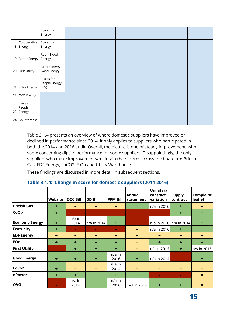|    |                                   | Economy<br>Energy                    |  |  |  |
|----|-----------------------------------|--------------------------------------|--|--|--|
|    | Co-operative<br>18 Energy         | Economy<br>Energy                    |  |  |  |
|    | 19 Better Energy                  | Robin Hood<br>Energy                 |  |  |  |
|    | 20 First Utility                  | Better Energy,<br>Good Energy        |  |  |  |
| 21 | <b>Extra Energy</b>               | Places for<br>People Energy<br>(n/s) |  |  |  |
| 22 | OVO Energy                        |                                      |  |  |  |
|    | Places for<br>People<br>23 Energy |                                      |  |  |  |
| 24 | Go Effortless                     |                                      |  |  |  |

Table 3.1.4 presents an overview of where domestic suppliers have improved or declined in performance since 2014. It only applies to suppliers who participated in both the 2014 and 2016 audit. Overall, the picture is one of steady improvement, with some concerning dips in performance for some suppliers. Disappointingly, the only suppliers who make improvements/maintain their scores across the board are British Gas, EDF Energy, LoCO2, E.On and Utility Warehouse.

These findings are discussed in more detail in subsequent sections.

#### <span id="page-15-0"></span>**Table 3.1.4: Change in score for domestic suppliers (2014-2016)**

|                       | Website   | <b>QCC Bill</b> | <b>DD Bill</b> | <b>PPM Bill</b>      | Annual<br>statement | Unilateral<br>contract<br>variation | <b>Supply</b><br>contract | <b>Complaint</b><br>leaflet |
|-----------------------|-----------|-----------------|----------------|----------------------|---------------------|-------------------------------------|---------------------------|-----------------------------|
| <b>British Gas</b>    | $+$       | $=$             | $=$            | $=$                  | $\ddot{}$           | n/a in 2016                         | $\ddot{}$                 | $=$                         |
| CoOp                  | $\ddot{}$ | ÷.              | $\sim$         | $\sim$               | $\sim$              | $\sim$                              | ٠                         | $+$                         |
| <b>Economy Energy</b> | $\ddot{}$ | n/a in<br>2014  | n/a in 2014    | $\ddot{\phantom{1}}$ | $\sim$              |                                     | n/a in 2016   n/a in 2014 | $\pm$                       |
| <b>Ecotricity</b>     | $\ddot{}$ | $\blacksquare$  | $\sim$         | $\sim$               | $=$                 | $n/a$ in 2016                       | ٠                         | $\ddot{\phantom{1}}$        |
| <b>EDF Energy</b>     | $=$       | $=$             | $=$            | $=$                  | $=$                 | Ξ                                   | $=$                       | $=$                         |
| EOn                   | $\ddot{}$ | ÷               | $\ddot{}$      | ÷                    | $=$                 | $\ddot{}$                           | $\ddot{}$                 | $+$                         |
| <b>First Utility</b>  | $\sim$    | $\ddot{}$       | $\ddot{}$      | $+$                  | $=$                 | n/s in 2016                         | ٠                         | n/s in 2016                 |
| <b>Good Energy</b>    | $\ddot{}$ | ÷               | $\ddot{}$      | $n/a$ in<br>2016     | $\ddot{}$           | n/a in 2014                         | $\sim$                    | $\ddot{\phantom{1}}$        |
| LoCo <sub>2</sub>     | ÷         | $=$             | $=$            | $n/a$ in<br>2014     | $=$                 | Ξ                                   | $=$                       | $=$                         |
| nPower                | $\ddot{}$ | $\ddot{}$       | ٠              | $\ddotmark$          | $\ddot{}$           | $\blacksquare$                      | $\mathbf{r}$              | $=$                         |
| <b>OVO</b>            | $\sim$    | n/a in<br>2014  | $\ddot{}$      | n/a in<br>2016       | n/a in 2014         | $\ddot{}$                           | ÷                         |                             |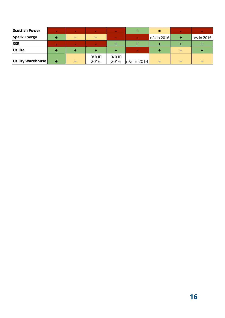| <b>Scottish Power</b> | $\mathbf{r}$ | $\sim$ | $\sim$   | <b>COL</b> | ٠             | =             | $\sim$ |             |
|-----------------------|--------------|--------|----------|------------|---------------|---------------|--------|-------------|
| <b>Spark Energy</b>   | ٠            | =      | =        | <b>COL</b> | $\sim$        | $n/a$ in 2016 | ÷      | n/s in 2016 |
| <b>SSE</b>            |              | ×      | ×        |            |               |               |        |             |
| Utilita               |              |        |          |            | $\sim$        |               | ⋍      |             |
|                       |              |        | $n/a$ in | $n/a$ in   |               |               |        |             |
| Utility Warehouse     | ÷            | $=$    | 2016     | 2016       | $n/a$ in 2014 | ÷             |        |             |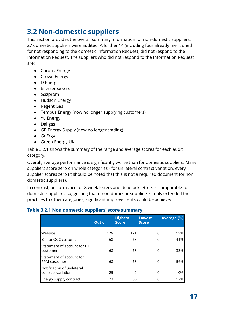### <span id="page-17-0"></span>**3.2 Non-domestic suppliers**

This section provides the overall summary information for non-domestic suppliers. 27 domestic suppliers were audited. A further 14 (including four already mentioned for not responding to the domestic Information Request) did not respond to the Information Request. The suppliers who did not respond to the Information Request are:

- Corona Energy
- Crown Energy
- D Energi
- Enterprise Gas
- Gazprom
- Hudson Energy
- Regent Gas
- Tempus Energy (now no longer supplying customers)
- Yu Energy
- Daligas
- GB Energy Supply (now no longer trading)
- GnErgy
- Green Energy UK

Table 3.2.1 shows the summary of the range and average scores for each audit category.

Overall, average performance is significantly worse than for domestic suppliers. Many suppliers score zero on whole categories - for unilateral contract variation, every supplier scores zero (it should be noted that this is not a required document for non domestic suppliers).

In contrast, performance for 8 week letters and deadlock letters is comparable to domestic suppliers, suggesting that if non-domestic suppliers simply extended their practices to other categories, significant improvements could be achieved.

#### <span id="page-17-1"></span>**Table 3.2.1 Non domestic suppliers' score summary**

|                                                  | Out of | <b>Highest</b><br><b>Score</b> | <b>Lowest</b><br><b>Score</b> | <b>Average (%)</b> |
|--------------------------------------------------|--------|--------------------------------|-------------------------------|--------------------|
| Website                                          | 126    | 121                            |                               | 59%                |
| Bill for QCC customer                            | 68     | 63                             | O                             | 41%                |
| Statement of account for DD<br>customer          | 68     | 63                             | Ω                             | 33%                |
| Statement of account for<br>PPM customer         | 68     | 63                             | Ω                             | 56%                |
| Notification of unilateral<br>contract variation | 25     | O                              | Ω                             | 0%                 |
| Energy supply contract                           | 73     | 56                             |                               | 12%                |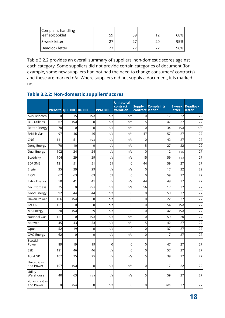| Complaint handling<br>leaflet/booklet | 59 | 59 | 1 ິ | 68% |
|---------------------------------------|----|----|-----|-----|
| 8 week letter                         | つつ |    |     | 95% |
| Deadlock letter                       |    |    |     | 96% |

Table 3.2.2 provides an overall summary of suppliers' non-domestic scores against each category. Some suppliers did not provide certain categories of document (for example, some new suppliers had not had the need to change consumers' contracts) and these are marked n/a. Where suppliers did not supply a document, it is marked n/s.

#### <span id="page-18-0"></span>**Table 3.2.2: Non-domestic suppliers' scores**

|                                | <b>Website QCC Bill</b> |             | <b>DD Bill</b> | <b>PPM Bill</b> | <b>Unilateral</b><br>contract<br>variation | <b>Supply</b><br>contract leaflet | <b>Complaints</b> | 8 week<br>letter | <b>Deadlock</b><br>letter |
|--------------------------------|-------------------------|-------------|----------------|-----------------|--------------------------------------------|-----------------------------------|-------------------|------------------|---------------------------|
| Axis Telecom                   | 0                       | 15          | n/a            | n/a             | n/a                                        | 0                                 | 17                | 22               | 22                        |
| <b>BES Utilities</b>           | 67                      | n/a         | $\mathbf 0$    | n/a             | n/a                                        | 5                                 | 47                | 27               | 27                        |
| <b>Better Energy</b>           | 70                      | 0           | $\Omega$       | n/a             | n/a                                        | $\Omega$                          | 34                | n/a              | n/a                       |
| <b>British Gas</b>             | 97                      | 46          | 46             | n/a             | n/a                                        | 47                                | 57                | 27               | 27                        |
| <b>CNG</b>                     | 111                     | 51          | n/a            | n/a             | n/a                                        | $\mathbf 0$                       | 42                | 27               | 27                        |
| Dong Energy                    | 70                      | 10          | $\mathbf 0$    | n/a             | n/a                                        | 5                                 | 27                | 22               | 22                        |
| Dual Energy                    | 102                     | 24          | 24             | n/a             | n/s                                        | $\Omega$                          | 12                | n/s              | 27                        |
| Ecotricity                     | 104                     | 29          | 29             | n/a             | n/a                                        | 15                                | 59                | n/a              | 27                        |
| <b>EDF SME</b>                 | 121                     | 51          | 51             | 51              | $\overline{0}$                             | 44                                | 59                | 27               | 27                        |
| Engie                          | 35                      | 29          | 29             | n/a             | n/s                                        | $\mathbf 0$                       | 17                | 22               | 22                        |
| E.ON                           | 67                      | 63          | 63             | 63              | $\overline{0}$                             | $\mathbf 0$                       | 59                | 27               | 27                        |
| <b>Extra Energy</b>            | 50                      | 41          | 41             | n/a             | n/s                                        | 44                                | 49                | 27               | 27                        |
| Go Effortless                  | 35                      | 0           | n/a            | n/a             | n/a                                        | 56                                | 17                | 22               | 22                        |
| Good Energy                    | 92                      | 44          | 44             | n/a             | 0                                          | $\mathbf 0$                       | 59                | 27               | 27                        |
| <b>Haven Power</b>             | 106                     | n/a         | $\mathbf 0$    | n/a             | 0                                          | $\mathbf 0$                       | 22                | 27               | 27                        |
| LoCO <sub>2</sub>              | 121                     | 0           | $\mathbf 0$    | n/a             | 0                                          | $\mathbf 0$                       | 54                | n/a              | 27                        |
| <b>MA Energy</b>               | 20                      | n/a         | 29             | n/a             | $\overline{0}$                             | $\mathbf 0$                       | 42                | n/a              | 27                        |
| <b>National Gas</b>            | 121                     | 0           | n/a            | n/a             | n/a                                        | $\mathbf 0$                       | 59                | 20               | 27                        |
| npower                         | 45                      | 43          | 53             | n/a             | n/s                                        | 5                                 | 42                | 27               | 27                        |
| Opus                           | 52                      | 19          | $\overline{0}$ | n/a             | $\overline{0}$                             | $\overline{0}$                    | 37                | 27               | 27                        |
| <b>OVO Energy</b>              | 62                      | $\mathbf 0$ | $\mathbf 0$    | n/a             | n/a                                        | $\mathbf 0$                       | 17                | 27               | 27                        |
| Scottish<br>Power              | 89                      | 19          | 19             | $\mathbf 0$     | 0                                          | 0                                 | 47                | 27               | 27                        |
| <b>SSE</b>                     | 121                     | 46          | 46             | n/a             | $\overline{0}$                             | $\mathbf 0$                       | 57                | 27               | 27                        |
| <b>Total GP</b>                | 107                     | 25          | 25             | n/a             | n/s                                        | 5                                 | 39                | 27               | 27                        |
| <b>United Gas</b><br>and Power | 107                     | n/a         | $\mathbf 0$    | n/a             | n/a                                        | $\mathbf 0$                       | 17                | 22               | 22                        |
| Utility<br>Warehouse           | 40                      | 63          | n/a            | n/a             | n/a                                        | 5                                 | 59                | 27               | 27                        |
| Yorkshire Gas<br>and Power     | 0                       | n/a         | 0              | n/a             | 0                                          | 0                                 | n/s               | 27               | 27                        |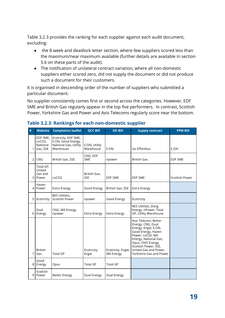Table 3.2.3 provides the ranking for each supplier against each audit document, excluding:

- the 8 week and deadlock letter section, where few suppliers scored less than the maximum/near maximum available (further details are available in section 5.6 on these parts of the audit).
- The notification of unilateral contract variation, where all non-domestic suppliers either scored zero, did not supply the document or did not produce such a document for their customers.

It is organised in descending order of the number of suppliers who submitted a particular document.

No supplier consistently comes first or second across the categories. However, EDF SME and British Gas regularly appear in the top five performers. In contrast, Scottish Power, Yorkshire Gas and Power and Axis Telecoms regularly score near the bottom.

| # | <b>Website</b>                                          | <b>Complaints leaflet</b>                                                        | <b>QCC Bill</b>            | <b>DD Bill</b>                         | <b>Supply contract</b>                                                                                                                                                                                                                | <b>PPM Bill</b>       |
|---|---------------------------------------------------------|----------------------------------------------------------------------------------|----------------------------|----------------------------------------|---------------------------------------------------------------------------------------------------------------------------------------------------------------------------------------------------------------------------------------|-----------------------|
| 1 | EDF SME,<br>LoCO <sub>2</sub> ,<br>National<br>Gas, SSE | Ecotricity, EDF SME,<br>E.ON, Good Energy,<br>National Gas, Utility<br>Warehouse | E.ON, Utility<br>Warehouse | E.ON                                   | Go Effortless                                                                                                                                                                                                                         | E.ON                  |
| 2 | <b>CNG</b>                                              | British Gas, SSE                                                                 | CNG, EDF<br><b>SME</b>     | npower                                 | <b>British Gas</b>                                                                                                                                                                                                                    | <b>EDF SME</b>        |
| 3 | Total GP,<br>United<br>Gas and<br>Power                 | LoCO <sub>2</sub>                                                                | British Gas,<br><b>SSE</b> | <b>EDF SME</b>                         | <b>EDF SME</b>                                                                                                                                                                                                                        | <b>Scottish Power</b> |
| 4 | Haven<br>Power                                          | <b>Extra Energy</b>                                                              | Good Energy                | British Gas, SSE                       | <b>Extra Energy</b>                                                                                                                                                                                                                   |                       |
| 5 | Ecotricity                                              | <b>BES Utilities,</b><br>Scottish Power                                          | npower                     | Good Energy                            | Ecotricity                                                                                                                                                                                                                            |                       |
| 6 | Dual<br>Energy                                          | CNG, MA Energy,<br>npower                                                        | <b>Extra Energy</b>        | <b>Extra Energy</b>                    | <b>BES Utilities, Dong</b><br>Energy, nPower, Total<br>GP, Utility Warehouse                                                                                                                                                          |                       |
| 7 | <b>British</b><br>Gas                                   | <b>Total GP</b>                                                                  | Ecotricity,<br>Engie       | Ecotricity, Engie,<br><b>MA Energy</b> | Axis Telecom, Better<br>Energy, CNG, Dual<br>Energy, Engie, E.ON,<br>Good Energy, Haven<br>Power, LoC02, MA<br>Energy, National Gas,<br>Opus, OVO Energy,<br>Scottish Power, SSE,<br>United Gas and Power,<br>Yorkshire Gas and Power |                       |
| 8 | Good<br>Energy                                          | Opus                                                                             | <b>Total GP</b>            | <b>Total GP</b>                        |                                                                                                                                                                                                                                       |                       |
| 9 | Scottish<br>Power                                       | <b>Better Energy</b>                                                             | Dual Energy                | Dual Energy                            |                                                                                                                                                                                                                                       |                       |

#### <span id="page-19-0"></span>**Table 3.2.3: Rankings for each non-domestic supplier**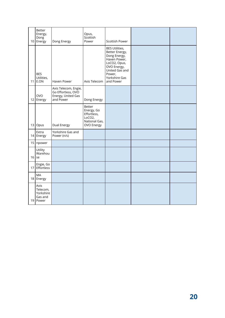|                 | Better<br>Energy,<br>Dong<br>10 Energy            | Dong Energy                                                                   | Opus,<br>Scottish<br>Power                                                   | Scottish Power                                                                                                                                                   |  |
|-----------------|---------------------------------------------------|-------------------------------------------------------------------------------|------------------------------------------------------------------------------|------------------------------------------------------------------------------------------------------------------------------------------------------------------|--|
| 11 <sup>1</sup> | <b>BES</b><br>Utilities,<br>E.ON                  | Haven Power                                                                   | Axis Telecom                                                                 | <b>BES Utilities,</b><br>Better Energy,<br>Dong Energy,<br>Haven Power,<br>LoCO2, Opus,<br>OVO Energy,<br>United Gas and<br>Power,<br>Yorkshire Gas<br>and Power |  |
|                 | <b>OVO</b><br>12 Energy                           | Axis Telecom, Engie,<br>Go Effortless, OVO<br>Energy, United Gas<br>and Power | Dong Energy                                                                  |                                                                                                                                                                  |  |
|                 | 13 Opus                                           | Dual Energy                                                                   | Better<br>Energy, Go<br>Effortless,<br>LoCO2,<br>National Gas,<br>OVO Energy |                                                                                                                                                                  |  |
|                 | Extra<br>14 Energy                                | Yorkshire Gas and<br>Power (n/s)                                              |                                                                              |                                                                                                                                                                  |  |
|                 | 15 npower                                         |                                                                               |                                                                              |                                                                                                                                                                  |  |
| 16              | Utility<br>Warehou<br>se                          |                                                                               |                                                                              |                                                                                                                                                                  |  |
| 17              | Engie, Go<br>Effortless                           |                                                                               |                                                                              |                                                                                                                                                                  |  |
|                 | MA<br>18 Energy                                   |                                                                               |                                                                              |                                                                                                                                                                  |  |
| 19 <sup>1</sup> | Axis<br>Telecom,<br>Yorkshire<br>Gas and<br>Power |                                                                               |                                                                              |                                                                                                                                                                  |  |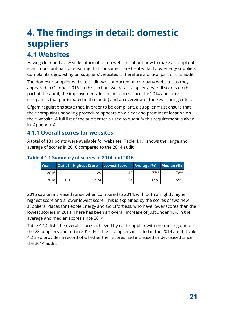# <span id="page-21-0"></span>**4. The findings in detail: domestic suppliers**

## <span id="page-21-1"></span>**4.1 Websites**

Having clear and accessible information on websites about how to make a complaint is an important part of ensuring that consumers are treated fairly by energy suppliers. Complaints signposting on suppliers' websites is therefore a critical part of this audit.

The domestic supplier website audit was conducted on company websites as they appeared in October 2016. In this section, we detail suppliers' overall scores on this part of the audit, the improvement/decline in scores since the 2014 audit (for companies that participated in that audit) and an overview of the key scoring criteria.

Ofgem regulations state that, in order to be compliant, a supplier must ensure that their complaints handling procedure appears on a clear and prominent location on their website. A full list of the audit criteria used to quantify this requirement is given in Appendix A.

#### <span id="page-21-2"></span>**4.1.1 Overall scores for websites**

A total of 131 points were available for websites. Table 4.1.1 shows the range and average of scores in 2016 compared to the 2014 audit.

| Year |     | <b>Out of Highest Score</b> | Lowest Score | Average (%) | $\blacksquare$ Median (%) |
|------|-----|-----------------------------|--------------|-------------|---------------------------|
| 2016 |     | 129                         | 40           | 77%         | 78%                       |
| 2014 | 131 | 124                         | 54           | 69%         | 69%                       |

#### <span id="page-21-3"></span>**Table 4.1.1 Summary of scores in 2014 and 2016**

2016 saw an increased range when compared to 2014, with both a slightly higher highest score and a lower lowest score. This is explained by the scores of two new suppliers, Places for People Energy and Go Effortless, who have lower scores than the lowest scorers in 2014. There has been an overall increase of just under 10% in the average and median scores since 2014.

Table 4.1.2 lists the overall scores achieved by each supplier with the ranking out of the 28 suppliers audited in 2016. For those suppliers included in the 2014 audit, Table 4.2 also provides a record of whether their scores had increased or decreased since the 2014 audit.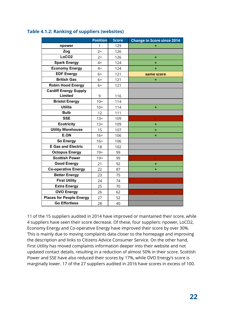|                                 | <b>Position</b> | <b>Score</b> | <b>Change in Score since 2014</b> |
|---------------------------------|-----------------|--------------|-----------------------------------|
| npower                          | 1               | 129          | ٠                                 |
| Zog                             | $2=$            | 126          |                                   |
| LoCO <sub>2</sub>               | $2 =$           | 126          | ÷                                 |
| <b>Spark Energy</b>             | $4=$            | 124          | ÷                                 |
| <b>Economy Energy</b>           | $4=$            | 124          | ÷                                 |
| <b>EDF Energy</b>               | $6=$            | 121          | same score                        |
| <b>British Gas</b>              | $6=$            | 121          | ÷                                 |
| <b>Robin Hood Energy</b>        | $6=$            | 121          |                                   |
| <b>Cardiff Energy Supply</b>    |                 |              |                                   |
| Limited                         | 9               | 116          |                                   |
| <b>Bristol Energy</b>           | $10=$           | 114          |                                   |
| <b>Utilita</b>                  | $10=$           | 114          | ÷                                 |
| <b>Bulb</b>                     | 12              | 111          |                                   |
| <b>SSE</b>                      | $13 =$          | 109          |                                   |
| <b>Ecotricity</b>               | $13 =$          | 109          | ÷                                 |
| <b>Utility Warehouse</b>        | 15              | 107          | ٠                                 |
| E.ON                            | $16=$           | 106          | ÷                                 |
| <b>So Energy</b>                | $16=$           | 106          |                                   |
| <b>E Gas and Electric</b>       | 18              | 102          |                                   |
| <b>Octopus Energy</b>           | $19=$           | 99           |                                   |
| <b>Scottish Power</b>           | $19=$           | 99           |                                   |
| <b>Good Energy</b>              | 21              | 92           | ÷                                 |
| <b>Co-operative Energy</b>      | 22              | 87           | ÷                                 |
| <b>Better Energy</b>            | 23              | 75           |                                   |
| <b>First Utility</b>            | 24              | 74           |                                   |
| <b>Extra Energy</b>             | 25              | 70           |                                   |
| <b>OVO Energy</b>               | 26              | 62           |                                   |
| <b>Places for People Energy</b> | 27              | 52           |                                   |
| <b>Go Effortless</b>            | 28              | 40           |                                   |

#### <span id="page-22-0"></span>**Table 4.1.2: Ranking of suppliers (websites)**

11 of the 15 suppliers audited in 2014 have improved or maintained their score, while 4 suppliers have seen their score decrease. Of these, four suppliers: npower, LoCO2, Economy Energy and Co-operative Energy have improved their score by over 30%. This is mainly due to moving complaints data closer to the homepage and improving the description and links to Citizens Advice Consumer Service. On the other hand, First Utility has moved complaints information deeper into their website and not updated contact details, resulting in a reduction of almost 50% in their score. Scottish Power and SSE have also reduced their scores by 17%, while OVO Energy's score is marginally lower. 17 of the 27 suppliers audited in 2016 have scores in excess of 100.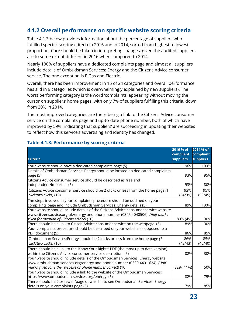#### <span id="page-23-0"></span>**4.1.2 Overall performance on specific website scoring criteria**

Table 4.1.3 below provides information about the percentage of suppliers who fulfilled specific scoring criteria in 2016 and in 2014, sorted from highest to lowest proportion. Care should be taken in interpreting changes, given the audited suppliers are to some extent different in 2016 when compared to 2014.

Nearly 100% of suppliers have a dedicated complaints page and almost all suppliers include details of Ombudsman Services: Energy and the Citizens Advice consumer service. The one exception is E Gas and Electric.

Overall, there has been improvement in 15 of 24 categories and overall performance has slid in 9 categories (which is overwhelmingly explained by new suppliers). The worst performing category is the word 'complaints' appearing without moving the cursor on suppliers' home pages, with only 7% of suppliers fulfilling this criteria, down from 20% in 2014.

The most improved categories are there being a link to the Citizens Advice consumer service on the complaints page and up-to-date phone number, both of which have improved by 59%, indicating that suppliers' are succeeding in updating their websites to reflect how this service's advertising and identity has changed.

|                                                                                                                                                                                                                            | 2016 % of                     | 2014 % of                     |
|----------------------------------------------------------------------------------------------------------------------------------------------------------------------------------------------------------------------------|-------------------------------|-------------------------------|
| <b>Criteria</b>                                                                                                                                                                                                            | compliant<br><b>suppliers</b> | compliant<br><b>suppliers</b> |
|                                                                                                                                                                                                                            |                               |                               |
| Your website should have a dedicated complaints page (5)                                                                                                                                                                   | 96%                           | 100%                          |
| Details of Ombudsman Services: Energy should be located on dedicated complaints<br>page (5)                                                                                                                                | 93%                           | 95%                           |
| Citizens Advice consumer service should be described as free and<br>independent/impartial. (5)                                                                                                                             | 93%                           | 80%                           |
| Citizens Advice consumer service should be 2 clicks or less from the home page (1<br>click/two clicks) (10)                                                                                                                | 93%<br>(54/39)                | 95%<br>(50/45)                |
| The steps involved in your complaints procedure should be outlined on your<br>complaints page and include Ombudsman Services: Energy details (5)                                                                           | 89%                           | 100%                          |
| Your website should include details of the Citizens Advice consumer service website<br>www.citizensadvice.org.uk/energy and phone number (03454 040506). (Half marks                                                       |                               | 30%                           |
| given for mention of Citizens Advice) (10)<br>There should be a link to Citizen Advice consumer service on the webpage. (5)                                                                                                | 89% (4%)<br>89%               | 30%                           |
| Your complaints procedure should be described on your website as opposed to a<br>PDF document (5)                                                                                                                          | 86%                           | 85%                           |
| Ombudsman Services: Energy should be 2 clicks or less from the home page (1<br>click/two clicks) (10)                                                                                                                      | 86%<br>(43/43)                | 85%<br>(45/40)                |
| There should be a link to the 'Know Your Rights' PDF (the most up to date version)<br>within the Citizens Advice consumer service description. (5)                                                                         | 82%                           | 30%                           |
| Your website should include details of the Ombudsman Services: Energy website<br>www.ombudsman-services.org/energy and phone number (0330 440 1624). (Half<br>marks given for either website or phone number correct) (10) | 82% (11%)                     | 50%                           |
| Your website should include a link to the website of the Ombudsman Services:<br>https://www.ombudsman-services.org/energy. (5)                                                                                             | 82%                           | 75%                           |
| There should be 2 or fewer 'page downs' hit to see Ombudsman Services: Energy<br>details on your complaints page (5)                                                                                                       | 79%                           | 85%                           |

#### <span id="page-23-1"></span>**Table 4.1.3: Performance by scoring criteria**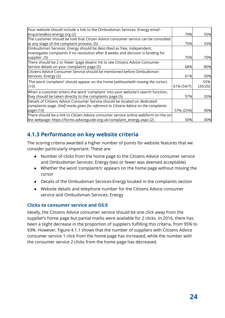| Your website should include a link to the Ombudsman Services: Energy email -                     |            |         |
|--------------------------------------------------------------------------------------------------|------------|---------|
| enquiries@os-energy.org (2)                                                                      | 79%        | 55%     |
| The customer should be told that Citizen Advice consumer service can be consulted $\overline{ }$ |            |         |
| at any stage of the complaint process. (5)                                                       | 75%        | 55%     |
| Ombudsman Services: Energy should be described as free, independent,                             |            |         |
| investigates complaints if no resolution after 8 weeks and decision is binding for               |            |         |
| supplier. (5)                                                                                    | 75%        | 70%     |
| There should be 2 or fewer 'page downs' hit to see Citizens Advice Consumer                      |            |         |
| Service details on your complaints page (5)                                                      | 68%        | 80%     |
| Citizens Advice Consumer Service should be mentioned before Ombudsman                            |            |         |
| Services: Energy (2)                                                                             | 61%        | 50%     |
| The word 'complaint' should appear on the home (without/with moving the cursor)                  |            | 55%     |
| (10)                                                                                             | 61% (54/7) | (35/20) |
| When a customer enters the word 'complaint' into your website's search function,                 |            |         |
| they should be taken directly to the complaints page (5)                                         | 57%        | 35%     |
| Details of Citizens Advice Consumer Service should be located on dedicated                       |            |         |
| complaints page. (Half marks given for reference to Citizens Advice on the complaints            |            |         |
| page) (10)                                                                                       | 57% (25%)  | 90%     |
| There should be a link to Citizen Advice consumer service online webform on the on               |            |         |
| the webpage: https://forms.adviceguide.org.uk/complaint_energy.aspx (2)                          | 50%        | 30%     |
|                                                                                                  |            |         |

#### <span id="page-24-0"></span>**4.1.3 Performance on key website criteria**

The scoring criteria awarded a higher number of points for website features that we consider particularly important. These are:

- Number of clicks from the home page to the Citizens Advice consumer service and Ombudsman Services: Energy (two or fewer was deemed acceptable)
- Whether the word 'complaint/s' appears on the home page without moving the cursor
- Details of the Ombudsman Services:Energy located in the complaints section
- Website details and telephone number for the Citizens Advice consumer service and Ombudsman Services: Energy

#### <span id="page-24-1"></span>**Clicks to consumer service and OS:E**

Ideally, the Citizens Advice consumer service should be one click away from the supplier's home page but partial marks were available for 2 clicks. In 2016, there has been a slight decrease in the proportion of suppliers fulfilling this criteria, from 95% to 93%. However, Figure 4.1.1 shows that the number of suppliers with Citizens Advice consumer service 1 click from the home page has increased, while the number with the consumer service 2 clicks from the home page has decreased.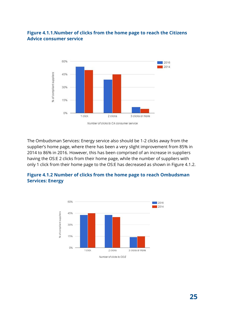#### <span id="page-25-0"></span>**Figure 4.1.1.Number of clicks from the home page to reach the Citizens Advice consumer service**



The Ombudsman Services: Energy service also should be 1-2 clicks away from the supplier's home page, where there has been a very slight improvement from 85% in 2014 to 86% in 2016. However, this has been comprised of an increase in suppliers having the OS:E 2 clicks from their home page, while the number of suppliers with only 1 click from their home page to the OS:E has decreased as shown in Figure 4.1.2.

<span id="page-25-1"></span>

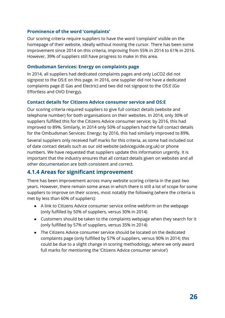#### <span id="page-26-0"></span>**Prominence of the word 'complaints'**

Our scoring criteria require suppliers to have the word 'complaint' visible on the homepage of their website, ideally without moving the cursor. There has been some improvement since 2014 on this criteria, improving from 55% in 2014 to 61% in 2016. However, 39% of suppliers still have progress to make in this area.

#### <span id="page-26-1"></span>**Ombudsman Services: Energy on complaints page**

In 2014, all suppliers had dedicated complaints pages and only LoCO2 did not signpost to the OS:E on this page. In 2016, one supplier did not have a dedicated complaints page (E Gas and Electric) and two did not signpost to the OS:E (Go Effortless and OVO Energy)**.**

#### <span id="page-26-2"></span>**Contact details for Citizens Advice consumer service and OS:E**

Our scoring criteria required suppliers to give full contact details (website and telephone number) for both organisations on their websites. In 2014, only 30% of suppliers fulfilled this for the Citizens Advice consumer service; by 2016, this had improved to 89%. Similarly, in 2014 only 50% of suppliers had the full contact details for the Ombudsman Services: Energy; by 2016, this had similarly improved to 89%.

Several suppliers only received half marks for this criteria, as some had included out of date contact details such as our old website (adviceguide.org.uk) or phone numbers. We have requested that suppliers update this information urgently. It is important that the industry ensures that all contact details given on websites and all other documentation are both consistent and correct.

#### <span id="page-26-3"></span>**4.1.4 Areas for significant improvement**

There has been improvement across many website scoring criteria in the past two years. However, there remain some areas in which there is still a lot of scope for some suppliers to improve on their scores, most notably the following (where the criteria is met by less than 60% of suppliers):

- A link to Citizens Advice consumer service online webform on the webpage (only fulfilled by 50% of suppliers, versus 30% in 2014)
- Customers should be taken to the complaints webpage when they search for it (only fulfilled by 57% of suppliers, versus 35% in 2014)
- The Citizens Advice consumer service should be located on the dedicated complaints page (only fulfilled by 57% of suppliers, versus 90% in 2014; this could be due to a slight change in scoring methodology, where we only award full marks for mentioning the 'Citizens Advice consumer service')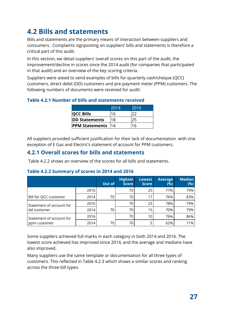# <span id="page-27-0"></span>**4.2 Bills and statements**

Bills and statements are the primary means of interaction between suppliers and consumers. Complaints signposting on suppliers' bills and statements is therefore a critical part of this audit.

In this section, we detail suppliers' overall scores on this part of the audit, the improvement/decline in scores since the 2014 audit (for companies that participated in that audit) and an overview of the key scoring criteria.

Suppliers were asked to send examples of bills for quarterly cash/cheque (QCC) customers, direct debit (DD) customers and pre-payment meter (PPM) customers. The following numbers of documents were received for audit:

#### <span id="page-27-1"></span>**Table 4.2.1 Number of bills and statements received**

|                       | 2014 | 2016 |
|-----------------------|------|------|
| <b>QCC Bills</b>      | 16   |      |
| <b>DD Statements</b>  | 18   |      |
| <b>PPM Statements</b> | 14   | 6    |

All suppliers provided sufficient justification for their lack of documentation with one exception of E Gas and Electric's statement of account for PPM customers.

#### <span id="page-27-2"></span>**4.2.1 Overall scores for bills and statements**

Table 4.2.2 shows an overview of the scores for all bills and statements.

<span id="page-27-3"></span>

| Table 4.2.2 Summary of scores in 2014 and 2016 |  |  |
|------------------------------------------------|--|--|
|                                                |  |  |

|                          |      | Out of | <b>Highest</b><br><b>Score</b> | <b>Lowest</b><br><b>Score</b> | <b>Average</b><br>(%) | <b>Median</b><br>(%) |
|--------------------------|------|--------|--------------------------------|-------------------------------|-----------------------|----------------------|
|                          | 2016 |        | 70                             | 25                            | 77%                   | 79%                  |
| Bill for QCC customer    | 2014 | 70     | 70                             | 17                            | 76%                   | 83%                  |
| Statement of account for | 2016 |        | 70                             | 25                            | 78%                   | 79%                  |
| dd customer              | 2014 | 70     | 70                             | 15                            | 70%                   | 79%                  |
| Statement of account for | 2016 |        | 70                             | 10                            | 76%                   | 86%                  |
| ppm customer             | 2014 | 70     | 70                             |                               | 62%                   | 71%                  |

Some suppliers achieved full marks in each category in both 2014 and 2016. The lowest score achieved has improved since 2014, and the average and medians have also improved.

Many suppliers use the same template or documentation for all three types of customers. This reflected in Table 4.2.3 which shows a similar scores and ranking across the three bill types.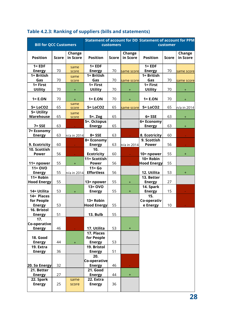| <b>Bill for QCC Customers</b> |              |                    | customers                       | <b>Statement of account for DD Statement of account for PPM</b> | customer                    |                                 |              |                    |
|-------------------------------|--------------|--------------------|---------------------------------|-----------------------------------------------------------------|-----------------------------|---------------------------------|--------------|--------------------|
| <b>Position</b>               | <b>Score</b> | Change<br>in Score | <b>Position</b>                 | <b>Score</b>                                                    | Change<br>in Score          | <b>Position</b>                 | <b>Score</b> | Change<br>in Score |
| $1 = EDF$                     |              | same               | $1 = EDF$                       |                                                                 |                             | $1 = EDF$                       |              |                    |
| <b>Energy</b>                 | 70           | score              | <b>Energy</b>                   | 70                                                              | same score                  | <b>Energy</b>                   | 70           | same score         |
| 1= British                    |              | same               | 1= British                      |                                                                 |                             | 1= British                      |              |                    |
| Gas<br>$1 = First$            | 70           | score              | Gas<br>$1 = First$              | 70                                                              | same score                  | Gas<br>$1 = First$              | 70           | same score         |
| <b>Utility</b>                | 70           | $\pm$              | <b>Utility</b>                  | 70                                                              | $+$                         | <b>Utility</b>                  | 70           | $+$                |
| $1 = E.ON$                    | 70           | $\pm$              | $1 = E.ON$                      | 70                                                              | $+$                         | $1 = E.ON$                      | 70           | $\pm$              |
| 5= LoCO2                      | 65           | same               | 5= LoCO2                        | 65                                                              |                             | 5= LoCO2                        | 65           |                    |
| 5= Utility                    |              | score              |                                 |                                                                 | same score                  |                                 |              | n/a in 2014        |
| Warehouse                     | 65           | same<br>score      | $5 = . Zog$                     | 65                                                              |                             | $6 = SSE$                       | 63           | $+$                |
|                               |              |                    | 5=. Octopus                     |                                                                 |                             | 6= Economy                      |              |                    |
| $7 = SSE$                     | 63           |                    | <b>Energy</b>                   | 65                                                              |                             | <b>Energy</b>                   | 63           | $+$                |
| 7= Economy                    |              |                    |                                 |                                                                 |                             |                                 |              |                    |
| <b>Energy</b>                 | 63           | n/a in 2014        | $8 = SSE$                       | 63                                                              |                             | 8. Ecotricity                   | 60           |                    |
|                               |              |                    | 8= Economy                      |                                                                 |                             | 9. Scottish                     |              |                    |
| 9. Ecotricity                 | 60           |                    | <b>Energy</b>                   | 63                                                              | n/a in 2014                 | <b>Power</b>                    | 56           |                    |
| 10. Scottish                  |              |                    | 10.                             |                                                                 |                             |                                 |              |                    |
| <b>Power</b>                  | 56           |                    | <b>Ecotricity</b>               | 60                                                              | $\mathcal{L}_{\mathcal{A}}$ | 10= npower                      | 55           | $\pm$              |
| 11= npower                    | 55           | $+$                | 11= Scottish<br><b>Power</b>    | 56                                                              |                             | 10= Robin<br><b>Hood Energy</b> | 55           |                    |
| $11 = OVO$                    |              |                    | $11 = Go$                       |                                                                 |                             |                                 |              |                    |
| <b>Energy</b>                 | 55           | n/a in 2014        | <b>Effortless</b>               | 56                                                              |                             | 12. Utilita                     | 53           | $\pm$              |
| $11 = Robin$                  |              |                    |                                 |                                                                 |                             | 13. Better                      |              |                    |
| <b>Hood Energy</b>            | 55           |                    | 13= npower                      | 55                                                              | $+$                         | <b>Energy</b>                   | 27           |                    |
|                               |              |                    | $13 = OVO$                      |                                                                 |                             | 14. Spark                       |              |                    |
| 14 = Utilita                  | 53           | $\ddot{}$          | <b>Energy</b>                   | 55                                                              | $+$                         | <b>Energy</b>                   | 15           |                    |
| 14= Places                    |              |                    |                                 |                                                                 |                             | 15.                             |              |                    |
| for People<br><b>Energy</b>   | 53           |                    | 13= Robin<br><b>Hood Energy</b> | 55                                                              |                             | Co-operativ<br>e Energy         | 10           |                    |
| 16. Bristol                   |              |                    |                                 |                                                                 |                             |                                 |              |                    |
| <b>Energy</b>                 | 51           |                    | 13. Bulb                        | 55                                                              |                             |                                 |              |                    |
| 17.                           |              |                    |                                 |                                                                 |                             |                                 |              |                    |
| Co-operative                  |              |                    |                                 |                                                                 |                             |                                 |              |                    |
| <b>Energy</b>                 | 46           |                    | 17. Utilita                     | 53                                                              | $\ddot{}$                   |                                 |              |                    |
|                               |              |                    | 17. Places                      |                                                                 |                             |                                 |              |                    |
| 18. Good                      |              |                    | for People                      |                                                                 |                             |                                 |              |                    |
| <b>Energy</b><br>19. Extra    | 44           | $+$                | <b>Energy</b><br>19. Bristol    | 53                                                              |                             |                                 |              |                    |
| <b>Energy</b>                 | 36           |                    | <b>Energy</b>                   | 51                                                              |                             |                                 |              |                    |
|                               |              |                    | 20.                             |                                                                 |                             |                                 |              |                    |
|                               |              |                    | Co-operative                    |                                                                 |                             |                                 |              |                    |
| 20. So Energy                 | 32           |                    | <b>Energy</b>                   | 46                                                              |                             |                                 |              |                    |
| 21. Better                    |              |                    | <b>21. Good</b>                 |                                                                 |                             |                                 |              |                    |
| <b>Energy</b>                 | 27           |                    | <b>Energy</b>                   | 44                                                              | $+$                         |                                 |              |                    |
| 22. Spark<br><b>Energy</b>    | 25           | same<br>score      | 22. Extra<br><b>Energy</b>      | 36                                                              |                             |                                 |              |                    |
|                               |              |                    |                                 |                                                                 |                             |                                 |              |                    |

#### <span id="page-28-0"></span>**Table 4.2.3: Ranking of suppliers (bills and statements)**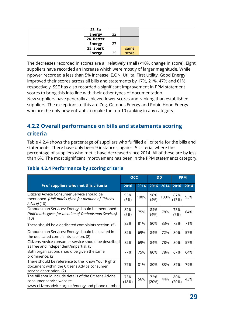| 23. So        |    |       |
|---------------|----|-------|
| <b>Energy</b> | 32 |       |
| 24. Better    |    |       |
| <b>Energy</b> | 27 |       |
| 25. Spark     |    | same  |
| <b>Energy</b> | 25 | score |

The decreases recorded in scores are all relatively small (<10% change in score). Eight suppliers have recorded an increase which were mostly of larger magnitude. While npower recorded a less than 5% increase, E.ON, Utilita, First Utility, Good Energy improved their scores across all bills and statements by 17%, 21%, 47% and 61% respectively. SSE has also recorded a significant improvement in PPM statement scores to bring this into line with their other types of documentation.

New suppliers have generally achieved lower scores and ranking than established suppliers. The exceptions to this are Zog, Octopus Energy and Robin Hood Energy who are the only new entrants to make the top 10 ranking in any category.

#### <span id="page-29-0"></span>**4.2.2 Overall performance on bills and statements scoring criteria**

Table 4.2.4 shows the percentage of suppliers who fulfilled all criteria for the bills and statements. There have only been 9 instances, against 5 criteria, where the percentage of suppliers who met it have decreased since 2014. All of these are by less than 6%. The most significant improvement has been in the PPM statements category.

|                                                                                                                                         | QCC          |      | <b>DD</b>    |      | <b>PPM</b>   |      |
|-----------------------------------------------------------------------------------------------------------------------------------------|--------------|------|--------------|------|--------------|------|
| % of suppliers who met this criteria                                                                                                    | 2016         | 2014 | 2016         | 2014 | 2016         | 2014 |
| lCitizens Advice Consumer Service should be<br>mentioned. (Half marks given for mention of Citizens<br>Advice) (10)                     | 95%<br>(5%)  | 100% | 96%<br>(4%)  | 100% | 87%<br>(13%) | 93%  |
| Ombudsman Services: Energy should be mentioned.<br>(Half marks given for mention of Ombudsman Services)<br>(10)                         | 82%<br>(5%)  | 75%  | 84%<br>(4%)  | 78%  | 73%<br>(7%)  | 64%  |
| There should be a dedicated complaints section. (5)                                                                                     | 82%          | 81%  | 80%          | 83%  | 73%          | 71%  |
| Ombudsman Services: Energy should be located in<br>the dedicated complaints section. (2)                                                | 82%          | 69%  | 84%          | 72%  | 80%          | 57%  |
| Citizens Advice consumer service should be described<br>as free and independent/impartial. (5)                                          | 82%          | 69%  | 84%          | 78%  | 80%          | 57%  |
| Both organisations should be given the same<br>prominence. (2)                                                                          | 77%          | 75%  | 80%          | 78%  | 67%          | 64%  |
| There should be reference to the 'Know Your Rights'<br>document within the Citizens Advice consumer<br>service description. (2)         | 77%          | 81%  | 80%          | 83%  | 87%          | 79%  |
| The bill should include details of the Citizens Advice<br>consumer service website<br>www.citizensadvice.org.uk/energy and phone number | 73%<br>(18%) | 56%  | 72%<br>(20%) | 44%  | 80%<br>(20%) | 43%  |

#### <span id="page-29-1"></span>**Table 4.2.4 Performance by scoring criteria**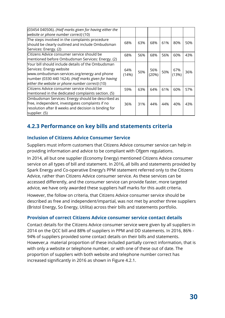| (03454 040506). (Half marks given for having either the |       |     |       |     |       |     |
|---------------------------------------------------------|-------|-----|-------|-----|-------|-----|
| website or phone number correct) (10)                   |       |     |       |     |       |     |
| The steps involved in the complaints procedure          |       |     |       |     |       |     |
| should be clearly outlined and include Ombudsman        | 68%   | 63% | 68%   | 61% | 80%   | 50% |
| Services: Energy. (2)                                   |       |     |       |     |       |     |
| Citizens Advice consumer service should be              | 68%   | 56% | 68%   | 56% | 60%   | 43% |
| mentioned before Ombudsman Services: Energy. (2)        |       |     |       |     |       |     |
| Nour bill should include details of the Ombudsman       |       |     |       |     |       |     |
| Services: Energy website                                | 64%   |     | 56%   |     | 67%   |     |
| www.ombudsman-services.org/energy and phone             | (14%) | 50% | (20%) | 50% | (13%) | 36% |
| number (0330 440 1624). (Half marks given for having    |       |     |       |     |       |     |
| either the website or phone number correct) (10)        |       |     |       |     |       |     |
| Citizens Advice consumer service should be              | 59%   | 63% | 64%   | 61% | 60%   | 57% |
| mentioned in the dedicated complaints section. (5)      |       |     |       |     |       |     |
| Ombudsman Services: Energy should be described as       |       |     |       |     |       |     |
| free, independent, investigates complaints if no        | 36%   | 31% | 44%   | 44% | 40%   | 43% |
| resolution after 8 weeks and decision is binding for    |       |     |       |     |       |     |
| supplier. (5)                                           |       |     |       |     |       |     |

#### <span id="page-30-0"></span>**4.2.3 Performance on key bills and statements criteria**

#### <span id="page-30-1"></span>**Inclusion of Citizens Advice Consumer Service**

Suppliers must inform customers that Citizens Advice consumer service can help in providing information and advice to be compliant with Ofgem regulations.

In 2014, all but one supplier (Economy Energy) mentioned Citizens Advice consumer service on all types of bill and statement. In 2016, all bills and statements provided by Spark Energy and Co-operative Energy's PPM statement referred only to the Citizens Advice, rather than Citizens Advice consumer service. As these services can be accessed differently, and the consumer service can provide faster, more targeted advice, we have only awarded these suppliers half marks for this audit criteria.

However, the follow on criteria, that Citizens Advice consumer service should be described as free and independent/impartial, was not met by another three suppliers (Bristol Energy, So Energy, Utilita) across their bills and statements portfolio.

#### <span id="page-30-2"></span>**Provision of correct Citizens Advice consumer service contact details**

Contact details for the Citizens Advice consumer service were given by all suppliers in 2014 on the QCC bill and 88% of suppliers in PPM and DD statements. In 2016, 86% - 94% of suppliers provided some contact details on their bills and statements. However,a material proportion of these included partially correct information, that is with only a website or telephone number, or with one of these out of date. The proportion of suppliers with both website and telephone number correct has increased significantly in 2016 as shown in Figure 4.2.1.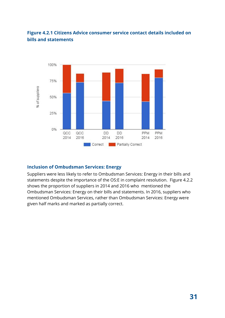#### <span id="page-31-0"></span>**Figure 4.2.1 Citizens Advice consumer service contact details included on bills and statements**

<span id="page-31-1"></span>

#### **Inclusion of Ombudsman Services: Energy**

Suppliers were less likely to refer to Ombudsman Services: Energy in their bills and statements despite the importance of the OS:E in complaint resolution. Figure 4.2.2 shows the proportion of suppliers in 2014 and 2016 who mentioned the Ombudsman Services: Energy on their bills and statements. In 2016, suppliers who mentioned Ombudsman Services, rather than Ombudsman Services: Energy were given half marks and marked as partially correct.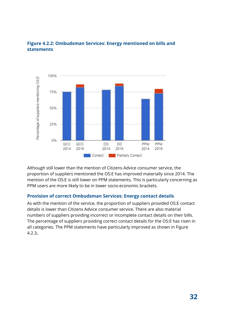

#### <span id="page-32-0"></span>**Figure 4.2.2: Ombudsman Services: Energy mentioned on bills and statements**

Although still lower than the mention of Citizens Advice consumer service, the proportion of suppliers mentioned the OS:E has improved materially since 2014. The mention of the OS:E is still lower on PPM statements. This is particularly concerning as PPM users are more likely to be in lower socio-economic brackets.

#### <span id="page-32-1"></span>**Provision of correct Ombudsman Services: Energy contact details**

As with the mention of the service, the proportion of suppliers provided OS:E contact details is lower than Citizens Advice consumer service. There are also material numbers of suppliers providing incorrect or incomplete contact details on their bills. The percentage of suppliers providing correct contact details for the OS:E has risen in all categories. The PPM statements have particularly improved as shown in Figure 4.2.3**.**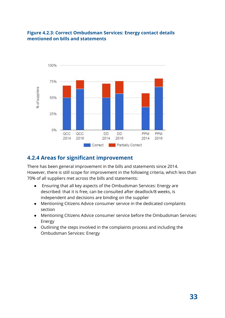#### <span id="page-33-0"></span>**Figure 4.2.3: Correct Ombudsman Services: Energy contact details mentioned on bills and statements**



#### <span id="page-33-1"></span>**4.2.4 Areas for significant improvement**

There has been general improvement in the bills and statements since 2014. However, there is still scope for improvement in the following criteria, which less than 70% of all suppliers met across the bills and statements:

- Ensuring that all key aspects of the Ombudsman Services: Energy are described: that it is free, can be consulted after deadlock/8 weeks, is independent and decisions are binding on the supplier
- Mentioning Citizens Advice consumer service in the dedicated complaints section
- Mentioning CItizens Advice consumer service before the Ombudsman Services: Energy
- Outlining the steps involved in the complaints process and including the Ombudsman Services: Energy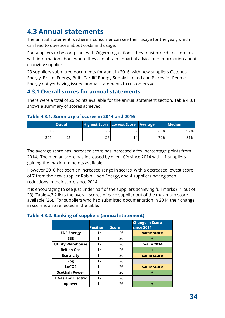### <span id="page-34-0"></span>**4.3 Annual statements**

The annual statement is where a consumer can see their usage for the year, which can lead to questions about costs and usage.

For suppliers to be compliant with Ofgem regulations, they must provide customers with information about where they can obtain impartial advice and information about changing supplier.

23 suppliers submitted documents for audit in 2016, with new suppliers Octopus Energy, Bristol Energy, Bulb, Cardiff Energy Supply Limited and Places for People Energy not yet having issued annual statements to customers yet.

#### <span id="page-34-1"></span>**4.3.1 Overall scores for annual statements**

There were a total of 26 points available for the annual statement section. Table 4.3.1 shows a summary of scores achieved.

#### <span id="page-34-2"></span>**Table 4.3.1: Summary of scores in 2014 and 2016**

|      | Out of | <b>Highest Score Lowest Score Average</b> |     |     | <b>Median</b> |
|------|--------|-------------------------------------------|-----|-----|---------------|
| 2016 |        | 26                                        |     | 83% | 92%           |
| 2014 | 26     | 26                                        | 14. | 79% | 81%           |

The average score has increased score has increased a few percentage points from 2014. The median score has increased by over 10% since 2014 with 11 suppliers gaining the maximum points available.

However 2016 has seen an increased range in scores, with a decreased lowest score of 7 from the new supplier Robin Hood Energy, and 4 suppliers having seen reductions in their score since 2014.

It is encouraging to see just under half of the suppliers achieving full marks (11 out of 23). Table 4.3.2 lists the overall scores of each supplier out of the maximum score available (26). For suppliers who had submitted documentation in 2014 their change in score is also reflected in the table.

#### <span id="page-34-3"></span>**Table 4.3.2: Ranking of suppliers (annual statement)**

|                           | <b>Position</b> | <b>Score</b> | <b>Change in Score</b><br>since 2014 |
|---------------------------|-----------------|--------------|--------------------------------------|
| <b>EDF Energy</b>         | $1 =$           | 26           | same score                           |
| <b>SSE</b>                | $1 =$           | 26           |                                      |
| <b>Utility Warehouse</b>  | $1 =$           | 26           | n/a in 2014                          |
| <b>British Gas</b>        | $1 =$           | 26           | ٠                                    |
| <b>Ecotricity</b>         | $1 =$           | 26           | same score                           |
| Zog                       | $1 =$           | 26           |                                      |
| LoCO <sub>2</sub>         | $1 =$           | 26           | same score                           |
| <b>Scottish Power</b>     | $1 =$           | 26           |                                      |
| <b>E</b> Gas and Electric | $1 =$           | 26           |                                      |
| npower                    | 1 =             | 26           |                                      |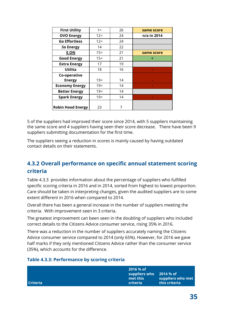| <b>First Utility</b>     | $1 =$  | 26 | same score  |
|--------------------------|--------|----|-------------|
| <b>OVO Energy</b>        | $12 =$ | 24 | n/a in 2014 |
| <b>Go Effortless</b>     | $12 =$ | 24 |             |
| <b>So Energy</b>         | 14     | 22 |             |
| <b>E.ON</b>              | $15 =$ | 21 | same score  |
| <b>Good Energy</b>       | $15 =$ | 21 | ٠           |
| <b>Extra Energy</b>      | 17     | 19 |             |
| <b>Utilita</b>           | 18     | 16 |             |
| Co-operative             |        |    |             |
| <b>Energy</b>            | $19=$  | 14 |             |
| <b>Economy Energy</b>    | $19=$  | 14 |             |
| <b>Better Energy</b>     | $19=$  | 14 |             |
| <b>Spark Energy</b>      | $19=$  | 14 |             |
| <b>Robin Hood Energy</b> | 23     |    |             |

5 of the suppliers had improved their score since 2014, with 5 suppliers maintaining the same score and 4 suppliers having seen their score decrease. There have been 9 suppliers submitting documentation for the first time.

The suppliers seeing a reduction in scores is mainly caused by having outdated contact details on their statements.

#### <span id="page-35-0"></span>**4.3.2 Overall performance on specific annual statement scoring criteria**

Table 4.3.3 provides information about the percentage of suppliers who fulfilled specific scoring criteria in 2016 and in 2014, sorted from highest to lowest proportion. Care should be taken in interpreting changes, given the audited suppliers are to some extent different in 2016 when compared to 2014.

Overall there has been a general increase in the number of suppliers meeting the criteria. With improvement seen in 3 criteria.

The greatest improvement can been seen in the doubling of suppliers who included correct details to the Citizens Advice consumer service, rising 35% in 2016.

There was a reduction in the number of suppliers accurately naming the Citizens Advice consumer service compared to 2014 (only 65%). However, for 2016 we gave half marks if they only mentioned Citizens Advice rather than the consumer service (35%), which accounts for the difference.

#### <span id="page-35-1"></span>**Table 4.3.3: Performance by scoring criteria**

| l Criteria | 2016 % of<br>suppliers who<br>met this<br><b>criteria</b> | 2014 % of<br>suppliers who met<br>this criteria |
|------------|-----------------------------------------------------------|-------------------------------------------------|
|            |                                                           |                                                 |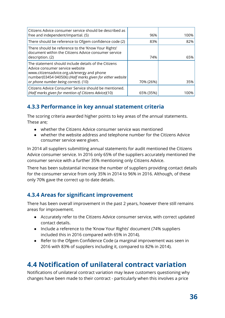| Citizens Advice consumer service should be described as<br>free and independent/impartial. (5)                                                                                                                                             | 96%       | 100% |
|--------------------------------------------------------------------------------------------------------------------------------------------------------------------------------------------------------------------------------------------|-----------|------|
| There should be reference to Ofgem confidence code (2)                                                                                                                                                                                     | 83%       | 82%  |
| There should be reference to the 'Know Your Rights'<br>document within the Citizens Advice consumer service<br>description. (2)                                                                                                            | 74%       | 65%  |
| The statement should include details of the Citizens<br>Advice consumer service website<br>www.citizensadvice.org.uk/energy and phone<br>number(03454 040506) (Half marks given for either website<br>or phone number being correct). (10) | 70% (26%) | 35%  |
| Citizens Advice Consumer Service should be mentioned.<br>(Half marks given for mention of Citizens Advice)(10)                                                                                                                             | 65% (35%) | 100% |

## **4.3.3 Performance in key annual statement criteria**

The scoring criteria awarded higher points to key areas of the annual statements. These are;

- whether the Citizens Advice consumer service was mentioned
- whether the website address and telephone number for the Citizens Advice consumer service were given.

In 2014 all suppliers submitting annual statements for audit mentioned the Citizens Advice consumer service. In 2016 only 65% of the suppliers accurately mentioned the consumer service with a further 35% mentioning only Citizens Advice.

There has been substantial increase the number of suppliers providing contact details for the consumer service from only 35% in 2014 to 96% in 2016. Although, of these only 70% gave the correct up to date details.

## **4.3.4 Areas for significant improvement**

There has been overall improvement in the past 2 years, however there still remains areas for improvement.

- Accurately refer to the Citizens Advice consumer service, with correct updated contact details.
- Include a reference to the 'Know Your Rights' document (74% suppliers included this in 2016 compared with 65% in 2014).
- Refer to the Ofgem Confidence Code (a marginal improvement was seen in 2016 with 83% of suppliers including it, compared to 82% in 2014).

# **4.4 Notification of unilateral contract variation**

Notifications of unilateral contract variation may leave customers questioning why changes have been made to their contract - particularly when this involves a price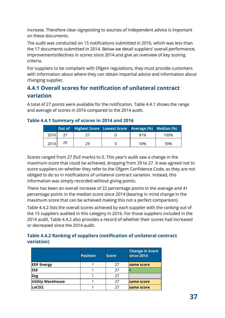increase. Therefore clear signposting to sources of independent advice is important on these documents.

The audit was conducted on 15 notifications submitted in 2016, which was less than the 17 documents submitted in 2014. Below we detail suppliers' overall performance, improvements/declines in scores since 2014 and give an overview of key scoring criteria.

For suppliers to be compliant with Ofgem regulations, they must provide customers with information about where they can obtain impartial advice and information about changing supplier.

## **4.4.1 Overall scores for notification of unilateral contract variation**

A total of 27 points were available for the notification. Table 4.4.1 shows the range and average of scores in 2016 compared to the 2014 audit.

#### **Table 4.4.1 Summary of scores in 2014 and 2016**

|      |    | Out of Highest Score Lowest Score Average (%) Median (%) |     |      |
|------|----|----------------------------------------------------------|-----|------|
| 2016 |    |                                                          | 81% | 100% |
| 2014 | 29 | 29                                                       | 59% | 59%  |

Scores ranged from 27 (full marks) to 0. This year's audit saw a change in the maximum score that could be achieved, dropping from 29 to 27. It was agreed not to score suppliers on whether they refer to the Ofgem Confidence Code, as they are not obliged to do so in notifications of unilateral contract variation. Instead, this information was simply recorded without giving points.

There has been an overall increase of 22 percentage points in the average and 41 percentage points in the median score since 2014 (bearing in mind change in the maximum score that can be achieved making this not a perfect comparison).

Table 4.4.2 lists the overall scores achieved by each supplier with the ranking out of the 15 suppliers audited in this category in 2016. For those suppliers included in the 2014 audit, Table 4.4.2 also provides a record of whether their scores had increased or decreased since the 2014 audit.

#### **Table 4.4.2 Ranking of suppliers (notification of unilateral contract variation)**

|                          | <b>Position</b> | <b>Score</b> | <b>Change in Score</b><br><b>since 2014</b> |
|--------------------------|-----------------|--------------|---------------------------------------------|
| <b>EDF Energy</b>        |                 | 27           | same score                                  |
| <b>SSE</b>               |                 | 27           |                                             |
| Zog                      |                 | 27           |                                             |
| <b>Utility Warehouse</b> |                 | 27           | same score                                  |
| LoCO <sub>2</sub>        |                 | 27           | same score                                  |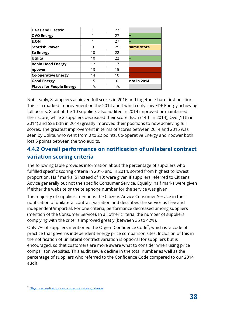| <b>E Gas and Electric</b>       |     | 27  |             |
|---------------------------------|-----|-----|-------------|
| <b>OVO Energy</b>               |     | 27  | ÷           |
| <b>E.ON</b>                     |     | 27  |             |
| <b>Scottish Power</b>           | 9   | 25  | same score  |
| So Energy                       | 10  | 22  |             |
| Utilita                         | 10  | 22  | ÷           |
| <b>Robin Hood Energy</b>        | 12  | 17  |             |
| npower                          | 13  | 15  |             |
| <b>Co-operative Energy</b>      | 14  | 10  |             |
| <b>Good Energy</b>              | 15  |     | n/a in 2014 |
| <b>Places for People Energy</b> | n/s | n/s |             |

Noticeably, 8 suppliers achieved full scores in 2016 and together share first position. This is a marked improvement on the 2014 audit which only saw EDF Energy achieving full points. 8 out of the 10 suppliers also audited in 2014 improved or maintained their score, while 2 suppliers decreased their score. E.On (14th in 2014), Ovo (11th in 2014) and SSE (8th in 2014) greatly improved their positions to now achieving full scores. The greatest improvement in terms of scores between 2014 and 2016 was seen by Utilita, who went from 0 to 22 points. Co-operative Energy and npower both lost 5 points between the two audits.

## **4.4.2 Overall performance on notification of unilateral contract variation scoring criteria**

The following table provides information about the percentage of suppliers who fulfilled specific scoring criteria in 2016 and in 2014, sorted from highest to lowest proportion. Half marks (5 instead of 10) were given if suppliers referred to Citizens Advice generally but not the specific Consumer Service. Equally, half marks were given if either the website or the telephone number for the service was given.

The majority of suppliers mentions the Citizens Advice Consumer Service in their notification of unilateral contract variation and describes the service as free and independent/impartial. For one criteria, performance decreased among suppliers (mention of the Consumer Service). In all other criteria, the number of suppliers complying with the criteria improved greatly (between 35 to 42%).

Only 7% of suppliers mentioned the Ofgem Confidence Code<sup>7</sup>, which is a code of practice that governs independent energy price comparison sites. Inclusion of this in the notification of unilateral contract variation is optional for suppliers but is encouraged, so that customers are more aware what to consider when using price comparison websites. This audit saw a decline in the total number as well as the percentage of suppliers who referred to the Confidence Code compared to our 2014 audit.

<sup>&</sup>lt;sup>7</sup> [Ofgem-accredited price comparison sites guidance](https://www.ofgem.gov.uk/consumers/household-gas-and-electricity-guide/how-switch-energy-supplier-and-shop-better-deal/compare-gas-and-electricity-tariffs-ofgem-accredited-price-comparison-sites)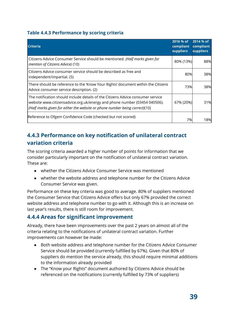#### **Table 4.4.3 Performance by scoring criteria**

| <b>Criteria</b>                                                                                                                                                                                                                             | 2016 % of<br>compliant<br><b>suppliers</b> | 2014 % of<br>compliant<br><b>suppliers</b> |
|---------------------------------------------------------------------------------------------------------------------------------------------------------------------------------------------------------------------------------------------|--------------------------------------------|--------------------------------------------|
| Citizens Advice Consumer Service should be mentioned. (Half marks given for<br>mention of Citizens Advice) (10)                                                                                                                             | 80% (13%)                                  | 88%                                        |
| Citizens Advice consumer service should be described as free and<br>independent/impartial. (5)                                                                                                                                              | 80%                                        | 38%                                        |
| There should be reference to the 'Know Your Rights' document within the Citizens<br>Advice consumer service description. (2)                                                                                                                | 73%                                        | 38%                                        |
| The notification should include details of the Citizens Advice consumer service<br>website www.citizensadvice.org.uk/energy and phone number (03454 040506).<br>(Half marks given for either the website or phone number being correct)(10) | 67% (20%)                                  | 31%                                        |
| Reference to Ofgem Confidence Code (checked but not scored)                                                                                                                                                                                 | 7%I                                        | 18%                                        |

## **4.4.3 Performance on key notification of unilateral contract variation criteria**

The scoring criteria awarded a higher number of points for information that we consider particularly important on the notification of unilateral contract variation. These are:

- whether the Citizens Advice Consumer Service was mentioned
- whether the website address and telephone number for the Citizens Advice Consumer Service was given.

Performance on these key criteria was good to average. 80% of suppliers mentioned the Consumer Service that Citizens Advice offers but only 67% provided the correct website address and telephone number to go with it. Although this is an increase on last year's results, there is still room for improvement.

## **4.4.4 Areas for significant improvement**

Already, there have been improvements over the past 2 years on almost all of the criteria relating to the notifications of unilateral contract variation. Further improvements can however be made:

- Both website address and telephone number for the Citizens Advice Consumer Service should be provided (currently fulfilled by 67%). Given that 80% of suppliers do mention the service already, this should require minimal additions to the information already provided
- The "Know your Rights" document authored by Citizens Advice should be referenced on the notifications (currently fulfilled by 73% of suppliers)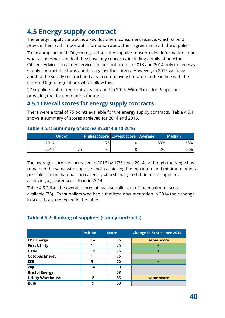# **4.5 Energy supply contract**

The energy supply contract is a key document consumers receive, which should provide them with important information about their agreement with the supplier.

To be compliant with Ofgem regulations, the supplier must provide information about what a customer can do if they have any concerns, including details of how the Citizens Advice consumer service can be contacted. In 2013 and 2014 only the energy supply contract itself was audited against the criteria. However, in 2016 we have audited the supply contract and any accompanying literature to be in line with the current Ofgem regulations which allow this.

27 suppliers submitted contracts for audit in 2016. With Places for People not providing the documentation for audit.

## **4.5.1 Overall scores for energy supply contracts**

There were a total of 75 points available for the energy supply contracts. Table 4.5.1 shows a summary of scores achieved for 2014 and 2016.

|      | <b>Out of</b> | <b>Highest Score Lowest Score Average</b> |  |     | Median <sup>1</sup> |
|------|---------------|-------------------------------------------|--|-----|---------------------|
| 2016 |               |                                           |  | 59% | 68%                 |
| 2014 |               | 75                                        |  | 42% | 28%                 |

#### **Table 4.5.1: Summary of scores in 2014 and 2016**

The average score has increased in 2016 by 17% since 2014. Although the range has remained the same with suppliers both achieving the maximum and minimum points possible, the median has increased by 40% showing a shift in more suppliers achieving a greater score than in 2014.

Table 4.5.2 lists the overall scores of each supplier out of the maximum score available (75). For suppliers who had submitted documentation in 2014 their change in score is also reflected in the table.

#### **Table 4.5.2: Ranking of suppliers (supply contracts)**

|                          | <b>Position</b> | <b>Score</b> | <b>Change in Score since 2014</b> |
|--------------------------|-----------------|--------------|-----------------------------------|
| <b>EDF Energy</b>        | $1 =$           | 75           | same score                        |
| <b>First Utility</b>     | 1=              | 75           | ٠                                 |
| <b>E.ON</b>              | $1 =$           | 75           | ٠                                 |
| <b>Octopus Energy</b>    | $1 =$           | 75           |                                   |
| <b>SSE</b>               | $5=$            | 70           | ٠                                 |
| Zog                      | $5=$            | 70           |                                   |
| <b>Bristol Energy</b>    |                 | 68           |                                   |
| <b>Utility Warehouse</b> | 8               | 65           | same score                        |
| <b>Bulb</b>              | 9               | 63           |                                   |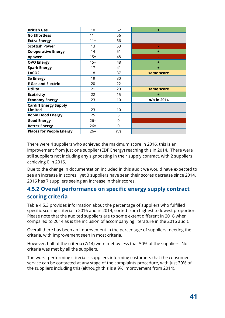| <b>British Gas</b>                      | 10     | 62       | ÷           |
|-----------------------------------------|--------|----------|-------------|
| <b>Go Effortless</b>                    | $11 =$ | 56       |             |
| <b>Extra Energy</b>                     | $11 =$ | 56       |             |
| <b>Scottish Power</b>                   | 13     | 53       |             |
| <b>Co-operative Energy</b>              | 14     | 51       | ٠           |
| npower                                  | $15 =$ | 48       |             |
| <b>OVO Energy</b>                       | $15 =$ | 48       | ٠           |
| Spark Energy                            | 17     | 41       | ٠           |
| LoCO <sub>2</sub>                       | 18     | 37       | same score  |
| So Energy                               | 19     | 30       |             |
| <b>E Gas and Electric</b>               | 20     | 22       |             |
| <b>Utilita</b>                          | 21     | 20       | same score  |
| <b>Ecotricity</b>                       | 22     | 15       | ٠           |
| <b>Economy Energy</b>                   | 23     | 10       | n/a in 2014 |
| <b>Cardiff Energy Supply</b><br>Limited | 23     | 10       |             |
| <b>Robin Hood Energy</b>                | 25     | 5        |             |
| <b>Good Energy</b>                      | $26=$  | 0        |             |
| <b>Better Energy</b>                    | $26=$  | $\Omega$ |             |
| <b>Places for People Energy</b>         | $26=$  | n/s      |             |

There were 4 suppliers who achieved the maximum score in 2016, this is an improvement from just one supplier (EDF Energy) reaching this in 2014. There were still suppliers not including any signposting in their supply contract, with 2 suppliers achieving 0 in 2016.

Due to the change in documentation included in this audit we would have expected to see an increase in scores, yet 3 suppliers have seen their scores decrease since 2014. 2016 has 7 suppliers seeing an increase in their scores.

## **4.5.2 Overall performance on specific energy supply contract scoring criteria**

Table 4.5.3 provides information about the percentage of suppliers who fulfilled specific scoring criteria in 2016 and in 2014, sorted from highest to lowest proportion. Please note that the audited suppliers are to some extent different in 2016 when compared to 2014 as is the inclusion of accompanying literature in the 2016 audit.

Overall there has been an improvement in the percentage of suppliers meeting the criteria, with improvement seen in most criteria.

However, half of the criteria (7/14) were met by less that 50% of the suppliers. No criteria was met by all the suppliers.

The worst performing criteria is suppliers informing customers that the consumer service can be contacted at any stage of the complaints procedure, with just 30% of the suppliers including this (although this is a 9% improvement from 2014).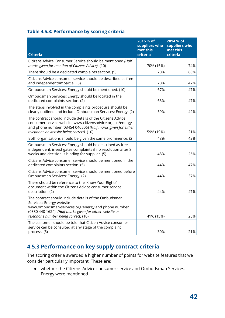#### **Table 4.5.3: Performance by scoring criteria**

| <b>Criteria</b>                                                                                                                                                                                                                            | 2016 % of<br>suppliers who<br>met this<br>criteria | 2014 % of<br>suppliers who<br>met this<br>criteria |
|--------------------------------------------------------------------------------------------------------------------------------------------------------------------------------------------------------------------------------------------|----------------------------------------------------|----------------------------------------------------|
| Citizens Advice Consumer Service should be mentioned (Half<br>marks given for mention of Citizens Advice). (10)                                                                                                                            | 70% (15%)                                          | 74%                                                |
| There should be a dedicated complaints section. (5)                                                                                                                                                                                        | 70%                                                | 68%                                                |
| Citizens Advice consumer service should be described as free<br>and independent/impartial. (5)                                                                                                                                             | 70%                                                | 47%                                                |
| Ombudsman Services: Energy should be mentioned. (10)                                                                                                                                                                                       | 67%                                                | 47%                                                |
| Ombudsman Services: Energy should be located in the<br>dedicated complaints section. (2)                                                                                                                                                   | 63%                                                | 47%                                                |
| The steps involved in the complaints procedure should be<br>clearly outlined and include Ombudsman Services: Energy. (2)                                                                                                                   | 59%                                                | 42%                                                |
| The contract should include details of the Citizens Advice<br>consumer service website www.citizensadvice.org.uk/energy<br>and phone number (03454 040506) (Half marks given for either<br>telephone or website being correct). (10)       | 59% (19%)                                          | 21%                                                |
| Both organisations should be given the same prominence. (2)                                                                                                                                                                                | 48%                                                | 42%                                                |
| Ombudsman Services: Energy should be described as free,<br>independent, investigates complaints if no resolution after 8<br>weeks and decision is binding for supplier. (5)                                                                | 48%                                                | 26%                                                |
| Citizens Advice consumer service should be mentioned in the<br>dedicated complaints section. (5)                                                                                                                                           | 44%                                                | 47%                                                |
| Citizens Advice consumer service should be mentioned before<br>Ombudsman Services: Energy. (2)                                                                                                                                             | 44%                                                | 37%                                                |
| There should be reference to the 'Know Your Rights'<br>document within the Citizens Advice consumer service<br>description. (2)                                                                                                            | 44%                                                | 47%                                                |
| The contract should include details of the Ombudsman<br>Services: Energy website<br>www.ombudsman-services.org/energy and phone number<br>(0330 440 1624). (Half marks given for either website or<br>telephone number being correct) (10) | 41% (15%)                                          | 26%                                                |
| The customer should be told that Citizen Advice consumer<br>service can be consulted at any stage of the complaint<br>process. (5)                                                                                                         | 30%                                                | 21%                                                |

## **4.5.3 Performance on key supply contract criteria**

The scoring criteria awarded a higher number of points for website features that we consider particularly important. These are;

● whether the Citizens Advice consumer service and Ombudsman Services: Energy were mentioned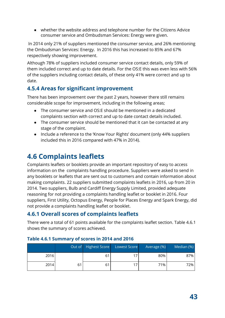● whether the website address and telephone number for the Citizens Advice consumer service and Ombudsman Services: Energy were given.

 In 2014 only 21% of suppliers mentioned the consumer service, and 26% mentioning the Ombudsman Services: Energy. In 2016 this has increased to 85% and 67% respectively showing improvement.

Although 78% of suppliers included consumer service contact details, only 59% of them included correct and up to date details. For the OS:E this was even less with 56% of the suppliers including contact details, of these only 41% were correct and up to date.

## **4.5.4 Areas for significant improvement**

There has been improvement over the past 2 years, however there still remains considerable scope for improvement, including in the following areas;

- The consumer service and OS:E should be mentioned in a dedicated complaints section with correct and up to date contact details included.
- The consumer service should be mentioned that it can be contacted at any stage of the complaint.
- Include a reference to the 'Know Your Rights' document (only 44% suppliers included this in 2016 compared with 47% in 2014).

# **4.6 Complaints leaflets**

Complaints leaflets or booklets provide an important repository of easy to access information on the complaints handling procedure. Suppliers were asked to send in any booklets or leaflets that are sent out to customers and contain information about making complaints. 22 suppliers submitted complaints leaflets in 2016, up from 20 in 2014. Two suppliers, Bulb and Cardiff Energy Supply Limited, provided adequate reasoning for not providing a complaints handling leaflet or booklet in 2016. Four suppliers, First Utility, Octopus Energy, People for Places Energy and Spark Energy, did not provide a complaints handling leaflet or booklet.

## **4.6.1 Overall scores of complaints leaflets**

There were a total of 61 points available for the complaints leaflet section. Table 4.6.1 shows the summary of scores achieved.

|      |    | Out of Highest Score | Lowest Score | Average (%) | Median (%) |
|------|----|----------------------|--------------|-------------|------------|
| 2016 |    | 61                   |              | 80%         | 87%        |
| 2014 | 61 | 61                   | 17           | 71%         | 72%        |

#### **Table 4.6.1 Summary of scores in 2014 and 2016**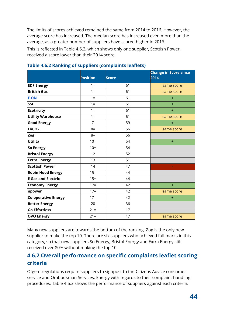The limits of scores achieved remained the same from 2014 to 2016. However, the average score has increased. The median score has increased even more than the average, as a greater number of suppliers have scored higher in 2016.

This is reflected in Table 4.6.2, which shows only one supplier, Scottish Power, received a score lower than their 2014 score.

|                            | <b>Position</b> | <b>Score</b> | <b>Change in Score since</b><br>2014 |
|----------------------------|-----------------|--------------|--------------------------------------|
| <b>EDF Energy</b>          | $1 =$           | 61           | same score                           |
| <b>British Gas</b>         | $1 =$           | 61           | same score                           |
| <b>E.ON</b>                | $1 =$           | 61           | $+$                                  |
| <b>SSE</b>                 | $1 =$           | 61           | $+$                                  |
| <b>Ecotricity</b>          | $1 =$           | 61           | $+$                                  |
| <b>Utility Warehouse</b>   | $1 =$           | 61           | same score                           |
| <b>Good Energy</b>         | $\overline{7}$  | 59           | $+$                                  |
| LoCO <sub>2</sub>          | $8=$            | 56           | same score                           |
| Zog                        | $8=$            | 56           |                                      |
| <b>Utilita</b>             | $10=$           | 54           | $+$                                  |
| So Energy                  | $10=$           | 54           |                                      |
| <b>Bristol Energy</b>      | 12              | 52           |                                      |
| <b>Extra Energy</b>        | 13              | 51           |                                      |
| <b>Scottish Power</b>      | 14              | 47           |                                      |
| <b>Robin Hood Energy</b>   | $15 =$          | 44           |                                      |
| <b>E</b> Gas and Electric  | $15 =$          | 44           |                                      |
| <b>Economy Energy</b>      | $17=$           | 42           | $+$                                  |
| npower                     | $17=$           | 42           | same score                           |
| <b>Co-operative Energy</b> | $17=$           | 42           | $+$                                  |
| <b>Better Energy</b>       | 20              | 36           |                                      |
| <b>Go Effortless</b>       | $21 =$          | 17           |                                      |
| <b>OVO Energy</b>          | $21 =$          | 17           | same score                           |

#### **Table 4.6.2 Ranking of suppliers (complaints leaflets)**

Many new suppliers are towards the bottom of the ranking. Zog is the only new supplier to make the top 10. There are six suppliers who achieved full marks in this category, so that new suppliers So Energy, Bristol Energy and Extra Energy still received over 80% without making the top 10.

## **4.6.2 Overall performance on specific complaints leaflet scoring criteria**

Ofgem regulations require suppliers to signpost to the Citizens Advice consumer service and Ombudsman Services: Energy with regards to their complaint handling procedures. Table 4.6.3 shows the performance of suppliers against each criteria.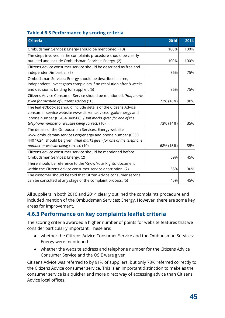#### **Table 4.6.3 Performance by scoring criteria**

| <b>Criteria</b>                                                                                                                                                                                               | 2016      | 2014 |
|---------------------------------------------------------------------------------------------------------------------------------------------------------------------------------------------------------------|-----------|------|
| Ombudsman Services: Energy should be mentioned. (10)                                                                                                                                                          | 100%      | 100% |
| The steps involved in the complaints procedure should be clearly<br>outlined and include Ombudsman Services: Energy. (2)                                                                                      | 100%      | 100% |
| Citizens Advice consumer service should be described as free and<br>independent/impartial. (5)                                                                                                                | 86%       | 75%  |
| Ombudsman Services: Energy should be described as free,<br>independent, investigates complaints if no resolution after 8 weeks<br>and decision is binding for supplier. (5)                                   | 86%       | 75%  |
| Citizens Advice Consumer Service should be mentioned. (Half marks<br>given for mention of Citizens Advice) (10)                                                                                               | 73% (18%) | 90%  |
| $ $ The leaflet/booklet should include details of the Citizens Advice $\,$<br>consumer service website www.citizensadvice.org.uk/energy and<br>'phone number (03454 040506). (Half marks given for one of the |           |      |
| telephone number or website being correct) (10)                                                                                                                                                               | 73% (14%) | 35%  |
| The details of the Ombudsman Services: Energy website<br>www.ombudsman-services.org/energy and phone number (0330<br>440 1624) should be given. (Half marks given for one of the telephone                    |           |      |
| number or website being correct) (10)                                                                                                                                                                         | 68% (18%) | 35%  |
| Citizens Advice consumer service should be mentioned before<br>Ombudsman Services: Energy. (2)                                                                                                                | 59%       | 45%  |
| There should be reference to the 'Know Your Rights' document<br>within the Citizens Advice consumer service description. (2)                                                                                  | 55%       | 30%  |
| The customer should be told that Citizen Advice consumer service<br>can be consulted at any stage of the complaint process. (5)                                                                               | 45%       | 45%  |

All suppliers in both 2016 and 2014 clearly outlined the complaints procedure and included mention of the Ombudsman Services: Energy. However, there are some key areas for improvement.

## **4.6.3 Performance on key complaints leaflet criteria**

The scoring criteria awarded a higher number of points for website features that we consider particularly important. These are:

- whether the Citizens Advice Consumer Service and the Ombudsman Services: Energy were mentioned
- whether the website address and telephone number for the Citizens Advice Consumer Service and the OS:E were given

Citizens Advice was referred to by 91% of suppliers, but only 73% referred correctly to the Citizens Advice consumer service. This is an important distinction to make as the consumer service is a quicker and more direct way of accessing advice than Citizens Advice local offices.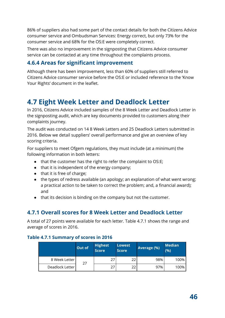86% of suppliers also had some part of the contact details for both the Citizens Advice consumer service and Ombudsman Services: Energy correct, but only 73% for the consumer service and 68% for the OS:E were completely correct.

There was also no improvement in the signposting that Citizens Advice consumer service can be contacted at any time throughout the complaints process.

## **4.6.4 Areas for significant improvement**

Although there has been improvement, less than 60% of suppliers still referred to Citizens Advice consumer service before the OS:E or included reference to the 'Know Your Rights' document in the leaflet.

# **4.7 Eight Week Letter and Deadlock Letter**

In 2016, Citizens Advice included samples of the 8 Week Letter and Deadlock Letter in the signposting audit, which are key documents provided to customers along their complaints journey.

The audit was conducted on 14 8 Week Letters and 25 Deadlock Letters submitted in 2016. Below we detail suppliers' overall performance and give an overview of key scoring criteria.

For suppliers to meet Ofgem regulations, they must include (at a minimum) the following information in both letters:

- that the customer has the right to refer the complaint to OS:E;
- that it is independent of the energy company;
- that it is free of charge;
- the types of redress available (an apology; an explanation of what went wrong; a practical action to be taken to correct the problem; and, a financial award); and
- that its decision is binding on the company but not the customer.

## **4.7.1 Overall scores for 8 Week Letter and Deadlock Letter**

A total of 27 points were available for each letter. Table 4.7.1 shows the range and average of scores in 2016.

#### **Table 4.7.1 Summary of scores in 2016**

|                 | <b>Out of</b> | <b>Highest</b><br><b>Score</b> | <b>Lowest</b><br><b>Score</b> | Average (%) | <b>Median</b><br>(9/6) |
|-----------------|---------------|--------------------------------|-------------------------------|-------------|------------------------|
| 8 Week Letter   | 27            | 27                             | 22                            | 98%         | 100%                   |
| Deadlock Letter |               | 27                             | 22                            | 97%         | 100%                   |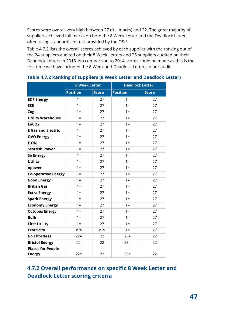Scores were overall very high between 27 (full marks) and 22. The great majority of suppliers achieved full marks on both the 8 Week Letter and the Deadlock Letter, often using standardised text provided by the OS:E.

Table 4.7.2 lists the overall scores achieved by each supplier with the ranking out of the 24 suppliers audited on their 8 Week Letters and 25 suppliers audited on their Deadlock Letters in 2016. No comparison to 2014 scores could be made as this is the first time we have included the 8 Week and Deadlock Letters in our audit.

|                            | <b>8 Week Letter</b> |              | <b>Deadlock Letter</b> |              |  |
|----------------------------|----------------------|--------------|------------------------|--------------|--|
|                            | <b>Position</b>      | <b>Score</b> | <b>Position</b>        | <b>Score</b> |  |
| <b>EDF Energy</b>          | $1 =$                | 27           | $1 =$                  | 27           |  |
| <b>SSE</b>                 | $1 =$                | 27           | $1 =$                  | 27           |  |
| Zog                        | $1 =$                | 27           | $1 =$                  | 27           |  |
| <b>Utility Warehouse</b>   | $1 =$                | 27           | $1 =$                  | 27           |  |
| LoCO <sub>2</sub>          | $1 =$                | 27           | $1 =$                  | 27           |  |
| <b>E Gas and Electric</b>  | $1 =$                | 27           | $1 =$                  | 27           |  |
| <b>OVO Energy</b>          | $1 =$                | 27           | $1 =$                  | 27           |  |
| <b>E.ON</b>                | $1 =$                | 27           | $1 =$                  | 27           |  |
| <b>Scottish Power</b>      | $1 =$                | 27           | $1 =$                  | 27           |  |
| <b>So Energy</b>           | $1 =$                | 27           | $1 =$                  | 27           |  |
| <b>Utilita</b>             | $1 =$                | 27           | $1 =$                  | 27           |  |
| npower                     | $1 =$                | 27           | $1 =$                  | 27           |  |
| <b>Co-operative Energy</b> | $1 =$                | 27           | $1 =$                  | 27           |  |
| <b>Good Energy</b>         | $1 =$                | 27           | $1 =$                  | 27           |  |
| <b>British Gas</b>         | $1 =$                | 27           | $1 =$                  | 27           |  |
| <b>Extra Energy</b>        | $1 =$                | 27           | $1 =$                  | 27           |  |
| <b>Spark Energy</b>        | $1 =$                | 27           | $1 =$                  | 27           |  |
| <b>Economy Energy</b>      | $1 =$                | 27           | $1 =$                  | 27           |  |
| <b>Octopus Energy</b>      | $1 =$                | 27           | $1 =$                  | 27           |  |
| <b>Bulb</b>                | $1 =$                | 27           | $1 =$                  | 27           |  |
| <b>First Utility</b>       | $1 =$                | 27           | $1 =$                  | 27           |  |
| <b>Ecotricity</b>          | n/a                  | n/a          | $1 =$                  | 27           |  |
| <b>Go Effortless</b>       | $22 =$               | 22           | $23=$                  | 22           |  |
| <b>Bristol Energy</b>      | $22 =$               | 22           | $23=$                  | 22           |  |
| <b>Places for People</b>   |                      |              |                        |              |  |
| <b>Energy</b>              | $22 =$               | 22           | $23 =$                 | 22           |  |

**Table 4.7.2 Ranking of suppliers (8 Week Letter and Deadlock Letter)**

## **4.7.2 Overall performance on specific 8 Week Letter and Deadlock Letter scoring criteria**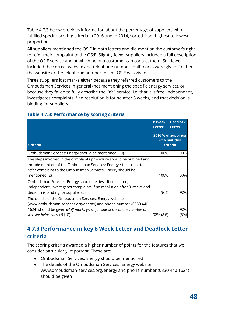Table 4.7.3 below provides information about the percentage of suppliers who fulfilled specific scoring criteria in 2016 and in 2014, sorted from highest to lowest proportion.

All suppliers mentioned the OS:E in both letters and did mention the customer's right to refer their complaint to the OS:E. Slightly fewer suppliers included a full description of the OS:E service and at which point a customer can contact them. Still fewer included the correct website and telephone number. Half marks were given if either the website or the telephone number for the OS:E was given.

Three suppliers lost marks either because they referred customers to the Ombudsman Services in general (not mentioning the specific energy service), or because they failed to fully describe the OS:E service, i.e. that it is free, independent, investigates complaints if no resolution is found after 8 weeks, and that decision is binding for suppliers.

|                                                                                                                                                                                                            | 8 Week<br><b>Letter</b> | <b>Deadlock</b><br><b>Letter</b>                |
|------------------------------------------------------------------------------------------------------------------------------------------------------------------------------------------------------------|-------------------------|-------------------------------------------------|
| <b>Criteria</b>                                                                                                                                                                                            |                         | 2016 % of suppliers<br>who met this<br>criteria |
| Ombudsman Services: Energy should be mentioned (10).                                                                                                                                                       | 100%                    | 100%                                            |
| The steps involved in the complaints procedure should be outlined and<br>include mention of the Ombudsman Services: Energy / their right to<br>refer complaint to the Ombudsman Services: Energy should be |                         |                                                 |
| mentioned (2).                                                                                                                                                                                             | 100%                    | 100%                                            |
| Ombudsman Services: Energy should be described as free,<br>independent, investigates complaints if no resolution after 8 weeks and<br>decision is binding for supplier (5).                                | 96%                     | 92%                                             |
| The details of the Ombudsman Services: Energy website                                                                                                                                                      |                         |                                                 |
| (www.ombudsman-services.org/energy) and phone number (0330 440                                                                                                                                             |                         |                                                 |
| 1624) should be given (Half marks given for one of the phone number or                                                                                                                                     |                         | 92%                                             |
| website being correct) (10).                                                                                                                                                                               | 92% (8%)                | (8%)                                            |

#### **Table 4.7.3: Performance by scoring criteria**

## **4.7.3 Performance in key 8 Week Letter and Deadlock Letter criteria**

The scoring criteria awarded a higher number of points for the features that we consider particularly important. These are:

- Ombudsman Services: Energy should be mentioned
- The details of the Ombudsman Services: Energy website www.ombudsman-services.org/energy and phone number (0330 440 1624) should be given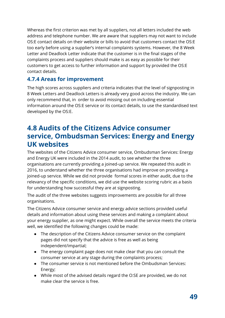Whereas the first criterion was met by all suppliers, not all letters included the web address and telephone number. We are aware that suppliers may not want to include OS:E contact details on their website or bills to avoid that customers contact the OS:E too early before using a supplier's internal complaints systems. However, the 8 Week Letter and Deadlock Letter indicate that the customer is in the final stages of the complaints process and suppliers should make is as easy as possible for their customers to get access to further information and support by provided the OS:E contact details.

## **4.7.4 Areas for improvement**

The high scores across suppliers and criteria indicates that the level of signposting in 8 Week Letters and Deadlock Letters is already very good across the industry. We can only recommend that, in order to avoid missing out on including essential information around the OS:E service or its contact details, to use the standardised text developed by the OS:E.

# **4.8 Audits of the Citizens Advice consumer service, Ombudsman Services: Energy and Energy UK websites**

The websites of the Citizens Advice consumer service, Ombudsman Services: Energy and Energy UK were included in the 2014 audit, to see whether the three organisations are currently providing a joined-up service. We repeated this audit in 2016, to understand whether the three organisations had improve on providing a joined-up service. While we did not provide formal scores in either audit, due to the relevancy of the specific conditions, we did use the website scoring rubric as a basis for understanding how successful they are at signposting.

The audit of the three websites suggests improvements are possible for all three organisations.

The Citizens Advice consumer service and energy advice sections provided useful details and information about using these services and making a complaint about your energy supplier, as one might expect. While overall the service meets the criteria well, we identified the following changes could be made:

- The description of the Citizens Advice consumer service on the complaint pages did not specify that the advice is free as well as being independent/impartial;
- The energy complaint page does not make clear that you can consult the consumer service at any stage during the complaints process;
- The consumer service is not mentioned before the Ombudsman Services: Energy;
- While most of the advised details regard the O:SE are provided, we do not make clear the service is free.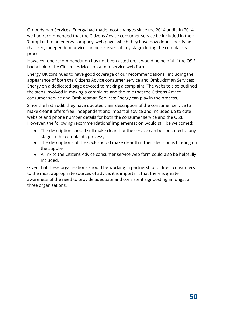Ombudsman Services: Energy had made most changes since the 2014 audit. In 2014, we had recommended that the Citizens Advice consumer service be included in their 'Complaint to an energy company' web page, which they have now done, specifying that free, independent advice can be received at any stage during the complaints process.

However, one recommendation has not been acted on. It would be helpful if the OS:E had a link to the Citizens Advice consumer service web form.

Energy UK continues to have good coverage of our recommendations, including the appearance of both the Citizens Advice consumer service and Ombudsman Services: Energy on a dedicated page devoted to making a complaint. The website also outlined the steps involved in making a complaint, and the role that the Citizens Advice consumer service and Ombudsman Services: Energy can play in the process.

Since the last audit, they have updated their description of the consumer service to make clear it offers free, independent and impartial advice and included up to date website and phone number details for both the consumer service and the OS:E. However, the following recommendations' implementation would still be welcomed:

- The description should still make clear that the service can be consulted at any stage in the complaints process;
- The descriptions of the OS:E should make clear that their decision is binding on the supplier;
- A link to the Citizens Advice consumer service web form could also be helpfully included.

Given that these organisations should be working in partnership to direct consumers to the most appropriate sources of advice, it is important that there is greater awareness of the need to provide adequate and consistent signposting amongst all three organisations.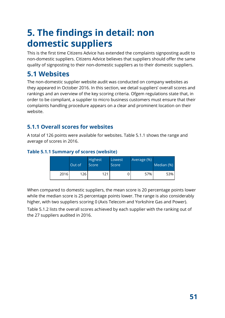# **5. The findings in detail: non domestic suppliers**

This is the first time Citizens Advice has extended the complaints signposting audit to non-domestic suppliers. Citizens Advice believes that suppliers should offer the same quality of signposting to their non-domestic suppliers as to their domestic suppliers.

# **5.1 Websites**

The non-domestic supplier website audit was conducted on company websites as they appeared in October 2016. In this section, we detail suppliers' overall scores and rankings and an overview of the key scoring criteria. Ofgem regulations state that, in order to be compliant, a supplier to micro business customers must ensure that their complaints handling procedure appears on a clear and prominent location on their website.

## **5.1.1 Overall scores for websites**

A total of 126 points were available for websites. Table 5.1.1 shows the range and average of scores in 2016.

#### **Table 5.1.1 Summary of scores (website)**

|      | Out of | <b>Highest</b><br>Score | Lowest<br>Score | Average (%) | Median (%) |
|------|--------|-------------------------|-----------------|-------------|------------|
| 2016 | 126    | 121                     |                 | 57%         | 53%        |

When compared to domestic suppliers, the mean score is 20 percentage points lower while the median score is 25 percentage points lower. The range is also considerably higher, with two suppliers scoring 0 (Axis Telecom and Yorkshire Gas and Power).

Table 5.1.2 lists the overall scores achieved by each supplier with the ranking out of the 27 suppliers audited in 2016.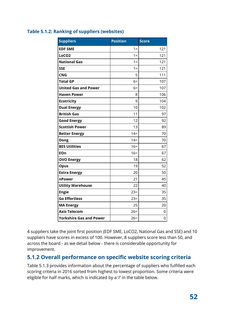| <b>Suppliers</b>               | <b>Position</b> | <b>Score</b> |
|--------------------------------|-----------------|--------------|
| <b>EDF SME</b>                 | $1 =$           | 121          |
| LoCO <sub>2</sub>              | $1 =$           | 121          |
| <b>National Gas</b>            | $1 =$           | 121          |
| <b>SSE</b>                     | $1 =$           | 121          |
| <b>CNG</b>                     | 5               | 111          |
| <b>Total GP</b>                | $6=$            | 107          |
| <b>United Gas and Power</b>    | $6=$            | 107          |
| <b>Haven Power</b>             | 8               | 106          |
| <b>Ecotricity</b>              | 9               | 104          |
| <b>Dual Energy</b>             | 10              | 102          |
| <b>British Gas</b>             | 11              | 97           |
| <b>Good Energy</b>             | 12              | 92           |
| <b>Scottish Power</b>          | 13              | 89           |
| <b>Better Energy</b>           | $14 =$          | 70           |
| <b>Dong</b>                    | $14 =$          | 70           |
| <b>BES Utilities</b>           | $16=$           | 67           |
| EOn                            | $16=$           | 67           |
| <b>OVO Energy</b>              | 18              | 62           |
| <b>Opus</b>                    | 19              | 52           |
| <b>Extra Energy</b>            | 20              | 50           |
| nPower                         | 21              | 45           |
| <b>Utility Warehouse</b>       | 22              | 40           |
| <b>Engie</b>                   | $23=$           | 35           |
| <b>Go Effortless</b>           | $23=$           | 35           |
| <b>MA Energy</b>               | 25              | 20           |
| <b>Axis Telecom</b>            | $26=$           | 0            |
| <b>Yorkshire Gas and Power</b> | $26=$           | 0            |

#### **Table 5.1.2: Ranking of suppliers (websites)**

4 suppliers take the joint first position (EDF SME, LoCO2, National Gas and SSE) and 10 suppliers have scores in excess of 100. However, 8 suppliers score less than 50, and across the board - as we detail below - there is considerable opportunity for improvement.

## **5.1.2 Overall performance on specific website scoring criteria**

Table 5.1.3 provides information about the percentage of suppliers who fulfilled each scoring criteria in 2016 sorted from highest to lowest proportion. Some criteria were eligible for half marks, which is indicated by a '/' in the table below.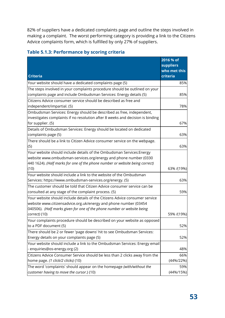82% of suppliers have a dedicated complaints page and outline the steps involved in making a complaint. The worst performing category is providing a link to the Citizens Advice complaints form, which is fulfilled by only 27% of suppliers.

| <b>Criteria</b>                                                                                                                                                                                                                   | 2016 % of<br><b>suppliers</b><br>who met this |
|-----------------------------------------------------------------------------------------------------------------------------------------------------------------------------------------------------------------------------------|-----------------------------------------------|
| Your website should have a dedicated complaints page (5)                                                                                                                                                                          | criteria<br>85%                               |
| The steps involved in your complaints procedure should be outlined on your                                                                                                                                                        |                                               |
| complaints page and include Ombudsman Services: Energy details (5)                                                                                                                                                                | 85%                                           |
| Citizens Advice consumer service should be described as free and<br>independent/impartial. (5)                                                                                                                                    | 78%                                           |
| Ombudsman Services: Energy should be described as free, independent,                                                                                                                                                              |                                               |
| investigates complaints if no resolution after 8 weeks and decision is binding<br>for supplier. (5)                                                                                                                               | 67%                                           |
| Details of Ombudsman Services: Energy should be located on dedicated<br>complaints page (5)                                                                                                                                       | 63%                                           |
| There should be a link to Citizen Advice consumer service on the webpage.<br>(5)                                                                                                                                                  | 63%                                           |
| Your website should include details of the Ombudsman Services: Energy<br>website www.ombudsman-services.org/energy and phone number (0330<br>$\vert$ 440 1624). (Half marks for one of the phone number or website being correct) |                                               |
| (10)                                                                                                                                                                                                                              | 63% /(19%)                                    |
| Your website should include a link to the website of the Ombudsman<br>Services: https://www.ombudsman-services.org/energy. (5)                                                                                                    | 63%                                           |
| The customer should be told that Citizen Advice consumer service can be<br>consulted at any stage of the complaint process. (5)                                                                                                   | 59%                                           |
| Your website should include details of the Citizens Advice consumer service<br>website www.citizensadvice.org.uk/energy and phone number (03454<br>040506). (Half marks given for one of the phone number or website being        |                                               |
| correct) (10)                                                                                                                                                                                                                     | 59% /(19%)                                    |
| Your complaints procedure should be described on your website as opposed<br>to a PDF document (5)                                                                                                                                 | 52%                                           |
| There should be 2 or fewer 'page downs' hit to see Ombudsman Services:<br>Energy details on your complaints page (5)                                                                                                              | 52%                                           |
| Your website should include a link to the Ombudsman Services: Energy email<br>- enquiries@os-energy.org (2)                                                                                                                       | 48%                                           |
| Citizens Advice Consumer Service should be less than 2 clicks away from the                                                                                                                                                       | 66%                                           |
| home page. (1 click/2 clicks) (10)                                                                                                                                                                                                | $(44\%/22\%)$                                 |
| The word 'complaints' should appear on the homepage (with/without the<br>customer having to move the cursor.) (10)                                                                                                                | 59%<br>$(44\%/15\%)$                          |

#### **Table 5.1.3: Performance by scoring criteria**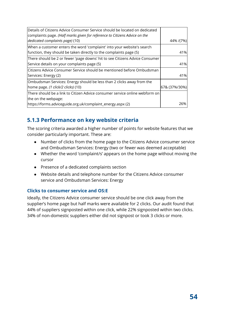| 44% /(7%)<br>41%<br>There should be 2 or fewer 'page downs' hit to see Citizens Advice Consumer<br>41% |
|--------------------------------------------------------------------------------------------------------|
|                                                                                                        |
|                                                                                                        |
|                                                                                                        |
|                                                                                                        |
|                                                                                                        |
|                                                                                                        |
|                                                                                                        |
| Citizens Advice Consumer Service should be mentioned before Ombudsman                                  |
| 41%                                                                                                    |
|                                                                                                        |
| 67& (37%/30%)                                                                                          |
| There should be a link to Citizen Advice consumer service online webform on                            |
|                                                                                                        |
| 26%                                                                                                    |
|                                                                                                        |

## **5.1.3 Performance on key website criteria**

The scoring criteria awarded a higher number of points for website features that we consider particularly important. These are:

- Number of clicks from the home page to the Citizens Advice consumer service and Ombudsman Services: Energy (two or fewer was deemed acceptable)
- Whether the word 'complaint/s' appears on the home page without moving the cursor
- Presence of a dedicated complaints section
- Website details and telephone number for the Citizens Advice consumer service and Ombudsman Services: Energy

#### **Clicks to consumer service and OS:E**

Ideally, the Citizens Advice consumer service should be one click away from the supplier's home page but half marks were available for 2 clicks. Our audit found that 44% of suppliers signposted within one click, while 22% signposted within two clicks. 34% of non-domestic suppliers either did not signpost or took 3 clicks or more.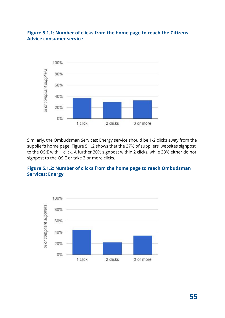#### **Figure 5.1.1: Number of clicks from the home page to reach the Citizens Advice consumer service**



Similarly, the Ombudsman Services: Energy service should be 1-2 clicks away from the supplier's home page. Figure 5.1.2 shows that the 37% of suppliers' websites signpost to the OS:E with 1 click. A further 30% signpost within 2 clicks, while 33% either do not signpost to the OS:E or take 3 or more clicks.

#### **Figure 5.1.2: Number of clicks from the home page to reach Ombudsman Services: Energy**



**55**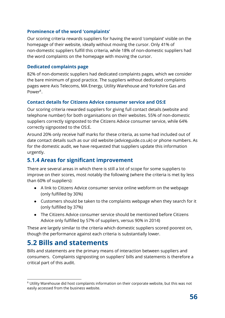#### **Prominence of the word 'complaints'**

Our scoring criteria rewards suppliers for having the word 'complaint' visible on the homepage of their website, ideally without moving the cursor. Only 41% of non-domestic suppliers fulfill this criteria, while 18% of non-domestic suppliers had the word complaints on the homepage with moving the cursor.

#### **Dedicated complaints page**

82% of non-domestic suppliers had dedicated complaints pages, which we consider the bare minimum of good practice. The suppliers without dedicated complaints pages were Axis Telecoms, MA Energy, Utility Warehouse and Yorkshire Gas and Power<sup>8</sup>.

#### **Contact details for Citizens Advice consumer service and OS:E**

Our scoring criteria rewarded suppliers for giving full contact details (website and telephone number) for both organisations on their websites. 55% of non-domestic suppliers correctly signposted to the Citizens Advice consumer service, while 64% correctly signposted to the OS:E.

Around 20% only receive half marks for these criteria, as some had included out of date contact details such as our old website (adviceguide.co.uk) or phone numbers. As for the domestic audit, we have requested that suppliers update this information urgently.

## **5.1.4 Areas for significant improvement**

There are several areas in which there is still a lot of scope for some suppliers to improve on their scores, most notably the following (where the criteria is met by less than 60% of suppliers):

- A link to Citizens Advice consumer service online webform on the webpage (only fulfilled by 30%)
- Customers should be taken to the complaints webpage when they search for it (only fulfilled by 37%)
- The Citizens Advice consumer service should be mentioned before Citizens Advice only fulfilled by 57% of suppliers, versus 90% in 2014)

These are largely similar to the criteria which domestic suppliers scored poorest on, though the performance against each criteria is substantially lower.

## **5.2 Bills and statements**

Bills and statements are the primary means of interaction between suppliers and consumers. Complaints signposting on suppliers' bills and statements is therefore a critical part of this audit.

 $\rm ^{8}$  Utility Warehouse did host complaints information on their corporate website, but this was not easily accessed from the business website.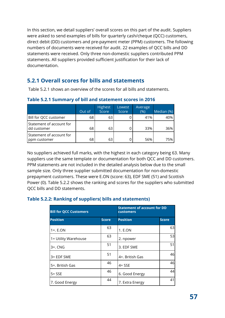In this section, we detail suppliers' overall scores on this part of the audit. Suppliers were asked to send examples of bills for quarterly cash/cheque (QCC) customers, direct debit (DD) customers and pre-payment meter (PPM) customers. The following numbers of documents were received for audit. 22 examples of QCC bills and DD statements were received. Only three non-domestic suppliers contributed PPM statements. All suppliers provided sufficient justification for their lack of documentation.

## **5.2.1 Overall scores for bills and statements**

Table 5.2.1 shows an overview of the scores for all bills and statements.

|                                          | Out of | <b>Highest</b><br>Score | Lowest<br>Score | Average<br>(% ) | Median (%) |
|------------------------------------------|--------|-------------------------|-----------------|-----------------|------------|
| Bill for QCC customer                    | 68     | 63                      |                 | 41%             | 40%        |
| Statement of account for<br>dd customer  | 68     | 63                      |                 | 33%             | 36%        |
| Statement of account for<br>ppm customer | 68     | 63                      |                 | 56%             | 75%        |

**Table 5.2.1 Summary of bill and statement scores in 2016**

No suppliers achieved full marks, with the highest in each category being 63. Many suppliers use the same template or documentation for both QCC and DD customers. PPM statements are not included in the detailed analysis below due to the small sample size. Only three supplier submitted documentation for non-domestic prepayment customers. These were E.ON (score: 63), EDF SME (51) and Scottish Power (0). Table 5.2.2 shows the ranking and scores for the suppliers who submitted QCC bills and DD statements.

#### **Table 5.2.2: Ranking of suppliers( bills and statements)**

| <b>Bill for QCC Customers</b> |              | <b>Statement of account for DD</b><br><b>customers</b> |              |
|-------------------------------|--------------|--------------------------------------------------------|--------------|
| <b>Position</b>               | <b>Score</b> | <b>Position</b>                                        | <b>Score</b> |
| $1 = E.ON$                    | 63           | 1. E.ON                                                | 63           |
| 1= Utility Warehouse          | 63           | 2. npower                                              | 53           |
| $3=$ . CNG                    | 51           | 3. EDF SME                                             | 51           |
| 3= EDF SME                    | 51           | 4=. British Gas                                        | 46           |
| 5=. British Gas               | 46           | $4 = SSE$                                              | 46           |
| $5 = SSE$                     | 46           | 6. Good Energy                                         | 44           |
| 7. Good Energy                | 44           | 7. Extra Energy                                        | 41           |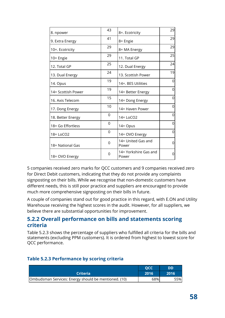| 8. npower          | 43 | 8=. Ecotricity                 | 29 |
|--------------------|----|--------------------------------|----|
| 9. Extra Energy    | 41 | 8= Engie                       | 29 |
| 10=. Ecotricity    | 29 | 8= MA Energy                   | 29 |
| 10= Engie          | 29 | 11. Total GP                   | 25 |
| 12. Total GP       | 25 | 12. Dual Energy                | 24 |
| 13. Dual Energy    | 24 | 13. Scottish Power             | 19 |
| 14. Opus           | 19 | 14=. BES Utilities             | 0  |
| 14= Scottish Power | 19 | 14= Better Energy              | 0  |
| 16. Axis Telecom   | 15 | 14= Dong Energy                | 0  |
| 17. Dong Energy    | 10 | 14 = Haven Power               | 0  |
| 18. Better Energy  | 0  | 14= LoCO2                      | 0  |
| 18 = Go Effortless | 0  | 14= Opus                       | 0  |
| 18 = LoCO2         | 0  | 14= OVO Energy                 | 0  |
| 18 = National Gas  | 0  | 14= United Gas and<br>Power    | 0  |
| 18 = OVO Energy    | 0  | 14= Yorkshire Gas and<br>Power | 0  |

5 companies received zero marks for QCC customers and 9 companies received zero for Direct Debit customers, indicating that they do not provide any complaints signposting on their bills. While we recognise that non-domestic customers have different needs, this is still poor practice and suppliers are encouraged to provide much more comprehensive signposting on their bills in future.

A couple of companies stand out for good practice in this regard, with E.ON and Utility Warehouse receiving the highest scores in the audit. However, for all suppliers, we believe there are substantial opportunities for improvement.

#### **5.2.2 Overall performance on bills and statements scoring criteria**

Table 5.2.3 shows the percentage of suppliers who fulfilled all criteria for the bills and statements (excluding PPM customers). It is ordered from highest to lowest score for QCC performance.

#### **Table 5.2.3 Performance by scoring criteria**

|                                                      | OCC  | <b>DD</b> |
|------------------------------------------------------|------|-----------|
| <b>Criteria</b>                                      | 2016 | 2016      |
| Ombudsman Services: Energy should be mentioned. (10) | 68%  | 55%       |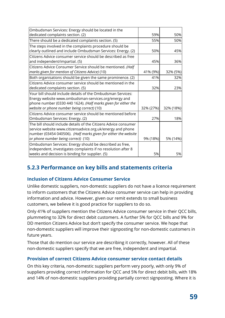| Ombudsman Services: Energy should be located in the             |           |           |
|-----------------------------------------------------------------|-----------|-----------|
| dedicated complaints section. (2)                               | 59%       | 50%       |
| There should be a dedicated complaints section. (5)             | 55%       | 50%       |
| The steps involved in the complaints procedure should be        |           |           |
| clearly outlined and include Ombudsman Services: Energy. (2)    | 50%       | 45%       |
| Citizens Advice consumer service should be described as free    |           |           |
| and independent/impartial. (5)                                  | 45%       | 36%       |
| Citizens Advice Consumer Service should be mentioned. (Half     |           |           |
| marks given for mention of Citizens Advice) (10)                | 41% (9%)  | 32% (5%)  |
| Both organisations should be given the same prominence. (2)     | 41%       | 32%       |
| Citizens Advice consumer service should be mentioned in the     |           |           |
| dedicated complaints section. (5)                               | 32%       | 23%       |
| Your bill should include details of the Ombudsman Services:     |           |           |
| Energy website www.ombudsman-services.org/energy and            |           |           |
| phone number (0330 440 1624). (Half marks given for either the  |           |           |
| website or phone number being correct) (10)                     | 32% (27%) | 32% (18%) |
| Citizens Advice consumer service should be mentioned before     |           |           |
| Ombudsman Services: Energy. (2)                                 | 27%       | 18%       |
| The bill should include details of the Citizens Advice consumer |           |           |
| service website www.citizensadvice.org.uk/energy and phone      |           |           |
| number (03454 040506). (Half marks given for either the website |           |           |
| or phone number being correct) (10)                             | 9% (18%)  | 5% (14%)  |
| Ombudsman Services: Energy should be described as free,         |           |           |
| independent, investigates complaints if no resolution after 8   |           |           |
| weeks and decision is binding for supplier. (5)                 | 5%        | 5%        |

## **5.2.3 Performance on key bills and statements criteria**

#### **Inclusion of Citizens Advice Consumer Service**

Unlike domestic suppliers, non-domestic suppliers do not have a licence requirement to inform customers that the Citizens Advice consumer service can help in providing information and advice. However, given our remit extends to small business customers, we believe it is good practice for suppliers to do so.

Only 41% of suppliers mention the Citizens Advice consumer service in their QCC bills, plummeting to 32% for direct debit customers. A further 5% for QCC bills and 9% for DD mention Citizens Advice but don't specify the consumer service. We hope that non-domestic suppliers will improve their signposting for non-domestic customers in future years.

Those that do mention our service are describing it correctly, however. All of these non-domestic suppliers specify that we are free, independent and impartial.

#### **Provision of correct Citizens Advice consumer service contact details**

On this key criteria, non-domestic suppliers perform very poorly, with only 9% of suppliers providing correct information for QCC and 5% for direct debit bills, with 18% and 14% of non-domestic suppliers providing partially correct signposting. Where it is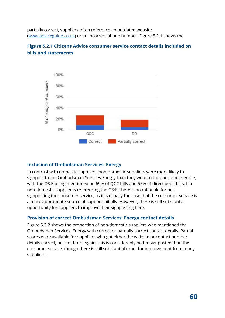partially correct, suppliers often reference an outdated website [\(www.adviceguide.co.uk\)](http://www.adviceguide.co.uk/) or an incorrect phone number. FIgure 5.2.1 shows the

#### **Figure 5.2.1 Citizens Advice consumer service contact details included on bills and statements**



#### **Inclusion of Ombudsman Services: Energy**

In contrast with domestic suppliers, non-domestic suppliers were more likely to signpost to the Ombudsman Services:Energy than they were to the consumer service, with the OS:E being mentioned on 69% of QCC bills and 55% of direct debit bills. If a non-domestic supplier is referencing the OS:E, there is no rationale for not signposting the consumer service, as it is usually the case that the consumer service is a more appropriate source of support initially. However, there is still substantial opportunity for suppliers to improve their signposting here.

#### **Provision of correct Ombudsman Services: Energy contact details**

Figure 5.2.2 shows the proportion of non-domestic suppliers who mentioned the Ombudsman Services: Energy with correct or partially correct contact details. Partial scores were available for suppliers who got either the website or contact number details correct, but not both. Again, this is considerably better signposted than the consumer service, though there is still substantial room for improvement from many suppliers.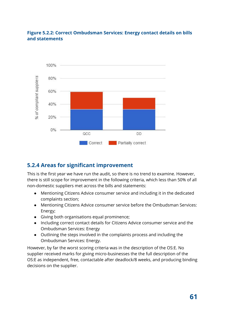#### **Figure 5.2.2: Correct Ombudsman Services: Energy contact details on bills and statements**



## **5.2.4 Areas for significant improvement**

This is the first year we have run the audit, so there is no trend to examine. However, there is still scope for improvement in the following criteria, which less than 50% of all non-domestic suppliers met across the bills and statements:

- Mentioning Citizens Advice consumer service and including it in the dedicated complaints section;
- Mentioning Citizens Advice consumer service before the Ombudsman Services: Energy;
- Giving both organisations equal prominence;
- Including correct contact details for Citizens Advice consumer service and the Ombudsman Services: Energy
- Outlining the steps involved in the complaints process and including the Ombudsman Services: Energy.

However, by far the worst scoring criteria was in the description of the OS:E. No supplier received marks for giving micro-businesses the the full description of the OS:E as independent, free, contactable after deadlock/8 weeks, and producing binding decisions on the supplier.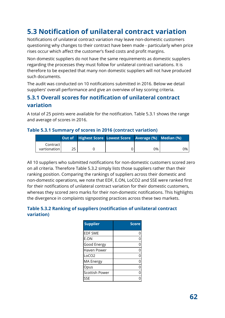# **5.3 Notification of unilateral contract variation**

Notifications of unilateral contract variation may leave non-domestic customers questioning why changes to their contract have been made - particularly when price rises occur which affect the customer's fixed costs and profit margins.

Non domestic suppliers do not have the same requirements as domestic suppliers regarding the processes they must follow for unilateral contract variations. It is therefore to be expected that many non domestic suppliers will not have produced such documents.

The audit was conducted on 10 notifications submitted in 2016. Below we detail suppliers' overall performance and give an overview of key scoring criteria.

## **5.3.1 Overall scores for notification of unilateral contract variation**

A total of 25 points were available for the notification. Table 5.3.1 shows the range and average of scores in 2016.

# **Table 5.3.1 Summary of scores in 2016 (contract variation)**

|                |    | <b>Out of</b> Highest Score Lowest Score Average (%) Median (%) |    |       |
|----------------|----|-----------------------------------------------------------------|----|-------|
| Contract l     |    |                                                                 |    |       |
| vartionation l | 25 |                                                                 | 0% | $0\%$ |

All 10 suppliers who submitted notifications for non-domestic customers scored zero on all criteria. Therefore Table 5.3.2 simply lists those suppliers rather than their ranking position. Comparing the rankings of suppliers across their domestic and non-domestic operations, we note that EDF, E.ON, LoCO2 and SSE were ranked first for their notifications of unilateral contract variation for their domestic customers, whereas they scored zero marks for their non-domestic notifications. This highlights the divergence in complaints signposting practices across these two markets.

#### **Table 5.3.2 Ranking of suppliers (notification of unilateral contract variation)**

| <b>Supplier</b>       | <b>Score</b> |
|-----------------------|--------------|
| <b>EDF SME</b>        |              |
| E.ON                  | 0            |
| Good Energy           |              |
| <b>Haven Power</b>    | $\mathbf 0$  |
| LoCO <sub>2</sub>     | n            |
| <b>MA Energy</b>      |              |
| Opus                  | ი            |
| <b>Scottish Power</b> |              |
| SSF                   |              |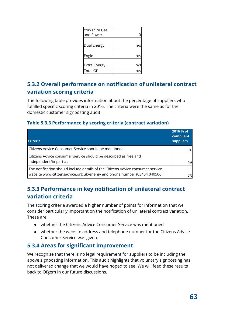| Yorkshire Gas<br>and Power |     |
|----------------------------|-----|
|                            |     |
| Dual Energy                | n/s |
|                            |     |
| Engie                      | n/s |
|                            |     |
| <b>Extra Energy</b>        | n/s |
| <b>Total GP</b>            |     |

## **5.3.2 Overall performance on notification of unilateral contract variation scoring criteria**

The following table provides information about the percentage of suppliers who fulfilled specific scoring criteria in 2016. The criteria were the same as for the domestic customer signposting audit.

#### **Table 5.3.3 Performance by scoring criteria (contract variation)**

| <b>Criteria</b>                                                                                                                                              | 2016 % of<br>compliant<br><b>suppliers</b> |
|--------------------------------------------------------------------------------------------------------------------------------------------------------------|--------------------------------------------|
| Citizens Advice Consumer Service should be mentioned.                                                                                                        | 0%                                         |
| Citizens Advice consumer service should be described as free and<br>independent/impartial.                                                                   | 0%                                         |
| The notification should include details of the Citizens Advice consumer service<br>website www.citizensadvice.org.uk/energy and phone number (03454 040506). | 0%l                                        |

## **5.3.3 Performance in key notification of unilateral contract variation criteria**

The scoring criteria awarded a higher number of points for information that we consider particularly important on the notification of unilateral contract variation. These are:

- whether the Citizens Advice Consumer Service was mentioned
- whether the website address and telephone number for the Citizens Advice Consumer Service was given.

## **5.3.4 Areas for significant improvement**

We recognise that there is no legal requirement for suppliers to be including the above signposting information. This audit highlights that voluntary signposting has not delivered change that we would have hoped to see. We will feed these results back to Ofgem in our future discussions.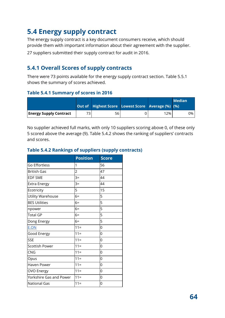# **5.4 Energy supply contract**

The energy supply contract is a key document consumers receive, which should provide them with important information about their agreement with the supplier. 27 suppliers submitted their supply contract for audit in 2016.

## **5.4.1 Overall Scores of supply contracts**

There were 73 points available for the energy supply contract section. Table 5.5.1 shows the summary of scores achieved.

#### **Table 5.4.1 Summary of scores in 2016**

|                               | <b>Out of Highest Score Lowest Score Average (%) (%)</b> |     | <b>Median</b> |
|-------------------------------|----------------------------------------------------------|-----|---------------|
| <b>Energy Supply Contract</b> | 56                                                       | 12% | 0%            |

No supplier achieved full marks, with only 10 suppliers scoring above 0, of these only 5 scored above the average (9). Table 5.4.2 shows the ranking of suppliers' contracts and scores.

#### **Table 5.4.2 Rankings of suppliers (supply contracts)**

|                         | <b>Position</b> | <b>Score</b> |
|-------------------------|-----------------|--------------|
| Go Effortless           | 1               | 56           |
| British Gas             | 2               | 47           |
| <b>EDF SME</b>          | $3=$            | 44           |
| <b>Extra Energy</b>     | $3=$            | 44           |
| Ecotricity              | 5               | 15           |
| Utility Warehouse       | $6=$            | 5            |
| <b>BES Utilities</b>    | $6=$            | 5            |
| npower                  | $6=$            | 5            |
| <b>Total GP</b>         | $6=$            | 5            |
| Dong Energy             | $6=$            | 5            |
| E.ON                    | $11 =$          | 0            |
| Good Energy             | $11 =$          | 0            |
| <b>SSE</b>              | $11 =$          | 0            |
| <b>Scottish Power</b>   | $11 =$          | 0            |
| <b>CNG</b>              | $11 =$          | 0            |
| Opus                    | $11 =$          | 0            |
| Haven Power             | $11 =$          | 0            |
| <b>OVO Energy</b>       | $11 =$          | 0            |
| Yorkshire Gas and Power | $11 =$          | 0            |
| <b>National Gas</b>     | $11 =$          | 0            |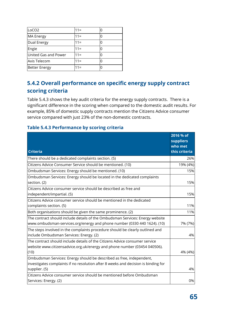| LoCO <sub>2</sub>    | $11 =$ |   |
|----------------------|--------|---|
| <b>MA Energy</b>     | $11 =$ |   |
| Dual Energy          | $11 =$ |   |
| Engie                | $11 =$ | O |
| United Gas and Power | $11 =$ | Ω |
| Axis Telecom         | $11 =$ | Ω |
| <b>Better Energy</b> | $11 =$ |   |

## **5.4.2 Overall performance on specific energy supply contract scoring criteria**

Table 5.4.3 shows the key audit criteria for the energy supply contracts. There is a significant difference in the scoring when compared to the domestic audit results. For example, 85% of domestic supply contracts mention the Citizens Advice consumer service compared with just 23% of the non-domestic contracts.

#### **Table 5.4.3 Performance by scoring criteria**

| <b>Criteria</b>                                                                                                                                                             | 2016 % of<br><b>suppliers</b><br>who met<br>this criteria |
|-----------------------------------------------------------------------------------------------------------------------------------------------------------------------------|-----------------------------------------------------------|
| There should be a dedicated complaints section. (5)                                                                                                                         | 26%                                                       |
| Citizens Advice Consumer Service should be mentioned. (10)                                                                                                                  | 19% (4%)                                                  |
| Ombudsman Services: Energy should be mentioned. (10)                                                                                                                        | 15%                                                       |
| Ombudsman Services: Energy should be located in the dedicated complaints<br>section. (2)                                                                                    | 15%                                                       |
| Citizens Advice consumer service should be described as free and<br>independent/impartial. (5)                                                                              | 15%                                                       |
| Citizens Advice consumer service should be mentioned in the dedicated<br>complaints section. (5)                                                                            | 11%                                                       |
| Both organisations should be given the same prominence. (2)                                                                                                                 | 11%                                                       |
| The contract should include details of the Ombudsman Services: Energy website<br>www.ombudsman-services.org/energy and phone number (0330 440 1624). (10)                   | 7% (7%)                                                   |
| The steps involved in the complaints procedure should be clearly outlined and<br>include Ombudsman Services: Energy. (2)                                                    | 4%                                                        |
| The contract should include details of the Citizens Advice consumer service<br>website www.citizensadvice.org.uk/energy and phone number (03454 040506).<br>(10)            | 4% (4%)                                                   |
| Ombudsman Services: Energy should be described as free, independent,<br>investigates complaints if no resolution after 8 weeks and decision is binding for<br>supplier. (5) | 4%                                                        |
| Citizens Advice consumer service should be mentioned before Ombudsman<br>Services: Energy. (2)                                                                              | 0%                                                        |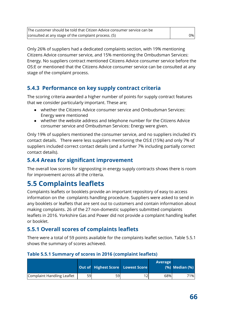| The customer should be told that Citizen Advice consumer service can be |     |
|-------------------------------------------------------------------------|-----|
| consulted at any stage of the complaint process. (5)                    | 0%I |

Only 26% of suppliers had a dedicated complaints section, with 19% mentioning Citizens Advice consumer service, and 15% mentioning the Ombudsman Services: Energy. No suppliers contract mentioned Citizens Advice consumer service before the OS:E or mentioned that the Citizens Advice consumer service can be consulted at any stage of the complaint process.

## **5.4.3 Performance on key supply contract criteria**

The scoring criteria awarded a higher number of points for supply contract features that we consider particularly important. These are;

- whether the Citizens Advice consumer service and Ombudsman Services: Energy were mentioned
- whether the website address and telephone number for the Citizens Advice consumer service and Ombudsman Services: Energy were given.

Only 19% of suppliers mentioned the consumer service, and no suppliers included it's contact details. There were less suppliers mentioning the OS:E (15%) and only 7% of suppliers included correct contact details (and a further 7% including partially correct contact details).

## **5.4.4 Areas for significant improvement**

The overall low scores for signposting in energy supply contracts shows there is room for improvement across all the criteria.

# **5.5 Complaints leaflets**

Complaints leaflets or booklets provide an important repository of easy to access information on the complaints handling procedure. Suppliers were asked to send in any booklets or leaflets that are sent out to customers and contain information about making complaints. 26 of the 27 non-domestic suppliers submitted complaints leaflets in 2016. Yorkshire Gas and Power did not provide a complaint handling leaflet or booklet.

## **5.5.1 Overall scores of complaints leaflets**

There were a total of 59 points available for the complaints leaflet section. Table 5.5.1 shows the summary of scores achieved.

#### **Table 5.5.1 Summary of scores in 2016 (complaint leaflets)**

|                            |    | Out of Highest Score Lowest Score |     | <b>Average</b> | $(%)$ Median $(% )$ |
|----------------------------|----|-----------------------------------|-----|----------------|---------------------|
| Complaint Handling Leaflet | 59 | 59                                | 121 | 68%            | 71%                 |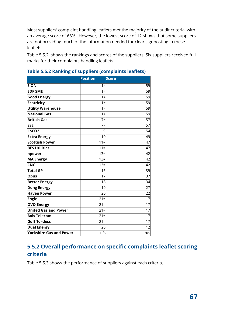Most suppliers' complaint handling leaflets met the majority of the audit criteria, with an average score of 68%. However, the lowest score of 12 shows that some suppliers are not providing much of the information needed for clear signposting in these leaflets.

Table 5.5.2 shows the rankings and scores of the suppliers. Six suppliers received full marks for their complaints handling leaflets.

|                             | <b>Position</b> | <b>Score</b> |
|-----------------------------|-----------------|--------------|
| <b>E.ON</b>                 | $1 =$           | 59           |
| <b>EDF SME</b>              | $1 =$           | 59           |
| <b>Good Energy</b>          | $1 =$           | 59           |
| <b>Ecotricity</b>           | $1 =$           | 59           |
| <b>Utility Warehouse</b>    | $1 =$           | 59           |
| <b>National Gas</b>         | $1 =$           | 59           |
| <b>British Gas</b>          | $7=$            | 57           |
| <b>SSE</b>                  | $7=$            | 57           |
| LoCO <sub>2</sub>           | 9               | 54           |
| <b>Extra Energy</b>         | 10              | 49           |
| Scottish Power              | $11 =$          | 47           |
| <b>BES Utilities</b>        | $11 =$          | 47           |
| npower                      | $13 =$          | 42           |
| <b>MA Energy</b>            | $13=$           | 42           |
| <b>CNG</b>                  | $13 =$          | 42           |
| <b>Total GP</b>             | 16              | 39           |
| <b>Opus</b>                 | 17              | 37           |
| <b>Better Energy</b>        | 18              | 34           |
| <b>Dong Energy</b>          | 19              | 27           |
| <b>Haven Power</b>          | 20              | 22           |
| Engie                       | $21 =$          | 17           |
| <b>OVO Energy</b>           | $21 =$          | 17           |
| <b>United Gas and Power</b> | $21 =$          | 17           |
| <b>Axis Telecom</b>         | $21 =$          | 17           |
| <b>Go Effortless</b>        | $21 =$          | 17           |
| <b>Dual Energy</b>          | 26              | 12           |
| Yorkshire Gas and Power     | n/s             | n/s          |

#### **Table 5.5.2 Ranking of suppliers (complaints leaflets)**

## **5.5.2 Overall performance on specific complaints leaflet scoring criteria**

Table 5.5.3 shows the performance of suppliers against each criteria.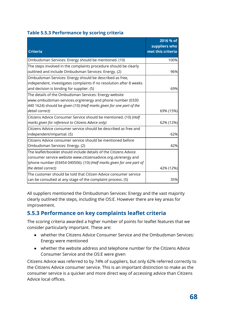| <b>Table 5.5.3 Performance by scoring criteria</b> |  |  |  |
|----------------------------------------------------|--|--|--|
|----------------------------------------------------|--|--|--|

| <b>Criteria</b>                                                                                                                                                                                            | 2016 % of<br>suppliers who<br>met this criteria |
|------------------------------------------------------------------------------------------------------------------------------------------------------------------------------------------------------------|-------------------------------------------------|
| Ombudsman Services: Energy should be mentioned. (10)                                                                                                                                                       | 100%                                            |
| The steps involved in the complaints procedure should be clearly<br>outlined and include Ombudsman Services: Energy. (2)                                                                                   | 96%                                             |
| Ombudsman Services: Energy should be described as free,<br>independent, investigates complaints if no resolution after 8 weeks<br>and decision is binding for supplier. (5)                                | 69%                                             |
| The details of the Ombudsman Services: Energy website<br>www.ombudsman-services.org/energy and phone number (0330<br>440 1624) should be given (10) (Half marks given for one part of the                  |                                                 |
| detail correct)                                                                                                                                                                                            | 69% (15%)                                       |
| Citizens Advice Consumer Service should be mentioned. (10) (Half<br>marks given for reference to Citizens Advice only)                                                                                     | 62% (12%)                                       |
| Citizens Advice consumer service should be described as free and<br>independent/impartial. (5)                                                                                                             | 62%                                             |
| Citizens Advice consumer service should be mentioned before<br>Ombudsman Services: Energy. (2)                                                                                                             | 42%                                             |
| The leaflet/booklet should include details of the Citizens Advice<br>consumer service website www.citizensadvice.org.uk/energy and<br>'phone number (03454 040506). (10) (Half marks given for one part of |                                                 |
| the detail correct)                                                                                                                                                                                        | 42% (12%)                                       |
| The customer should be told that Citizen Advice consumer service<br>can be consulted at any stage of the complaint process. (5)                                                                            | 35%                                             |

All suppliers mentioned the Ombudsman Services: Energy and the vast majority clearly outlined the steps, including the OS:E. However there are key areas for improvement.

## **5.5.3 Performance on key complaints leaflet criteria**

The scoring criteria awarded a higher number of points for leaflet features that we consider particularly important. These are:

- whether the Citizens Advice Consumer Service and the Ombudsman Services: Energy were mentioned
- whether the website address and telephone number for the Citizens Advice Consumer Service and the OS:E were given

Citizens Advice was referred to by 74% of suppliers, but only 62% referred correctly to the Citizens Advice consumer service. This is an important distinction to make as the consumer service is a quicker and more direct way of accessing advice than Citizens Advice local offices.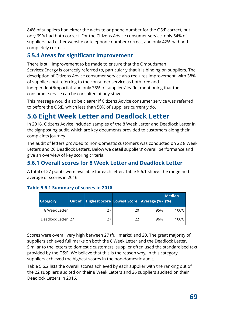84% of suppliers had either the website or phone number for the OS:E correct, but only 69% had both correct. For the Citizens Advice consumer service, only 54% of suppliers had either website or telephone number correct, and only 42% had both completely correct.

## **5.5.4 Areas for significant improvement**

There is still improvement to be made to ensure that the Ombudsman Services:Energy is correctly referred to, particularly that it is binding on suppliers. The description of Citizens Advice consumer service also requires improvement, with 38% of suppliers not referring to the consumer service as both free and independent/impartial, and only 35% of suppliers' leaflet mentioning that the consumer service can be consulted at any stage.

This message would also be clearer if Citizens Advice consumer service was referred to before the OS:E, which less than 50% of suppliers currently do.

# **5.6 Eight Week Letter and Deadlock Letter**

In 2016, Citizens Advice included samples of the 8 Week Letter and Deadlock Letter in the signposting audit, which are key documents provided to customers along their complaints journey.

The audit of letters provided to non-domestic customers was conducted on 22 8 Week Letters and 26 Deadlock Letters. Below we detail suppliers' overall performance and give an overview of key scoring criteria.

## **5.6.1 Overall scores for 8 Week Letter and Deadlock Letter**

A total of 27 points were available for each letter. Table 5.6.1 shows the range and average of scores in 2016.

| <b>Category</b>    | <b>Out of</b> |    | Highest Score Lowest Score Average (%) (%) |     | <b>Median</b> |
|--------------------|---------------|----|--------------------------------------------|-----|---------------|
| 8 Week Letter      |               | 27 | 20                                         | 95% | 100%          |
| Deadlock Letter 27 |               | 27 | 22                                         | 96% | 100%          |

#### **Table 5.6.1 Summary of scores in 2016**

Scores were overall very high between 27 (full marks) and 20. The great majority of suppliers achieved full marks on both the 8 Week Letter and the Deadlock Letter. Similar to the letters to domestic customers, supplier often used the standardised text provided by the OS:E. We believe that this is the reason why, in this category, suppliers achieved the highest scores in the non-domestic audit.

Table 5.6.2 lists the overall scores achieved by each supplier with the ranking out of the 22 suppliers audited on their 8 Week Letters and 26 suppliers audited on their Deadlock Letters in 2016.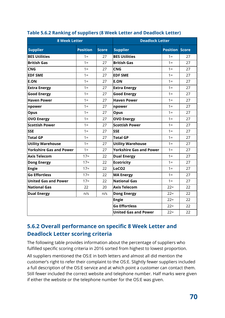| <b>8 Week Letter</b>           |                 |              | <b>Deadlock Letter</b>         |                       |    |  |
|--------------------------------|-----------------|--------------|--------------------------------|-----------------------|----|--|
| <b>Supplier</b>                | <b>Position</b> | <b>Score</b> | <b>Supplier</b>                | <b>Position Score</b> |    |  |
| <b>BES Utilities</b>           | $1 =$           | 27           | <b>BES Utilities</b>           | $1 =$                 | 27 |  |
| <b>British Gas</b>             | $1 =$           | 27           | <b>British Gas</b>             | $1 =$                 | 27 |  |
| <b>CNG</b>                     | $1 =$           | 27           | <b>CNG</b>                     | $1 =$                 | 27 |  |
| <b>EDF SME</b>                 | $1 =$           | 27           | <b>EDF SME</b>                 | $1 =$                 | 27 |  |
| <b>E.ON</b>                    | $1 =$           | 27           | <b>E.ON</b>                    | $1 =$                 | 27 |  |
| <b>Extra Energy</b>            | $1 =$           | 27           | <b>Extra Energy</b>            | $1 =$                 | 27 |  |
| <b>Good Energy</b>             | $1 =$           | 27           | <b>Good Energy</b>             | $1 =$                 | 27 |  |
| <b>Haven Power</b>             | $1 =$           | 27           | <b>Haven Power</b>             | $1 =$                 | 27 |  |
| npower                         | $1 =$           | 27           | npower                         | $1 =$                 | 27 |  |
| <b>Opus</b>                    | $1 =$           | 27           | <b>Opus</b>                    | $1 =$                 | 27 |  |
| <b>OVO Energy</b>              | $1 =$           | 27           | <b>OVO Energy</b>              | $1 =$                 | 27 |  |
| <b>Scottish Power</b>          | $1 =$           | 27           | <b>Scottish Power</b>          | $1 =$                 | 27 |  |
| <b>SSE</b>                     | $1 =$           | 27           | <b>SSE</b>                     | $1 =$                 | 27 |  |
| <b>Total GP</b>                | $1 =$           | 27           | <b>Total GP</b>                | $1 =$                 | 27 |  |
| <b>Utility Warehouse</b>       | $1 =$           | 27           | <b>Utility Warehouse</b>       | $1 =$                 | 27 |  |
| <b>Yorkshire Gas and Power</b> | $1 =$           | 27           | <b>Yorkshire Gas and Power</b> | $1 =$                 | 27 |  |
| <b>Axis Telecom</b>            | $17=$           | 22           | <b>Dual Energy</b>             | $1 =$                 | 27 |  |
| <b>Dong Energy</b>             | $17=$           | 22           | <b>Ecotricity</b>              | $1 =$                 | 27 |  |
| Engie                          | $17=$           | 22           | LoCO <sub>2</sub>              | $1 =$                 | 27 |  |
| <b>Go Effortless</b>           | $17=$           | 22           | <b>MA Energy</b>               | $1 =$                 | 27 |  |
| <b>United Gas and Power</b>    | $17=$           | 22           | <b>National Gas</b>            | $1 =$                 | 27 |  |
| <b>National Gas</b>            | 22              | 20           | <b>Axis Telecom</b>            | $22 =$                | 22 |  |
| <b>Dual Energy</b>             | n/s             | n/s          | <b>Dong Energy</b>             | $22 =$                | 22 |  |
|                                |                 |              | <b>Engie</b>                   | $22 =$                | 22 |  |
|                                |                 |              | <b>Go Effortless</b>           | $22 =$                | 22 |  |
|                                |                 |              | <b>United Gas and Power</b>    | $22 =$                | 22 |  |

#### **Table 5.6.2 Ranking of suppliers (8 Week Letter and Deadlock Letter)**

## **5.6.2 Overall performance on specific 8 Week Letter and Deadlock Letter scoring criteria**

The following table provides information about the percentage of suppliers who fulfilled specific scoring criteria in 2016 sorted from highest to lowest proportion.

All suppliers mentioned the OS:E in both letters and almost all did mention the customer's right to refer their complaint to the OS:E. Slightly fewer suppliers included a full description of the OS:E service and at which point a customer can contact them. Still fewer included the correct website and telephone number. Half marks were given if either the website or the telephone number for the OS:E was given.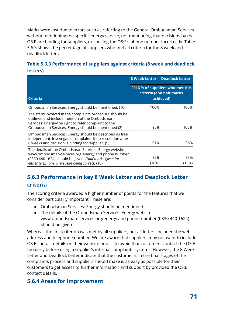Marks were lost due to errors such as referring to the General Ombudsman Services without mentioning the specific energy service, not mentioning that decisions by the OS:E are binding for suppliers, or spelling the OS:E's phone number incorrectly. Table 5.6.3 shows the percentage of suppliers who met all criteria for the 8 week and deadlock letters.

## **Table 5.6.3 Performance of suppliers against criteria (8 week and deadlock letters)**

|                                                                                                                                                                                                                          | <b>8 Week Letter</b>                                                      | <b>Deadlock Letter</b> |  |
|--------------------------------------------------------------------------------------------------------------------------------------------------------------------------------------------------------------------------|---------------------------------------------------------------------------|------------------------|--|
| <b>Criteria</b>                                                                                                                                                                                                          | 2016 % of suppliers who met this<br>criteria (and half marks<br>achieved) |                        |  |
| Ombudsman Services: Energy should be mentioned. (10)                                                                                                                                                                     | 100%                                                                      | 100%l                  |  |
| The steps involved in the complaints procedure should be<br>outlined and include mention of the Ombudsman<br>Services: Energy/the right to refer complaint to the<br>Ombudsman Services: Energy should be mentioned (2)  | 95%                                                                       | 100%                   |  |
| Ombudsman Services: Energy should be described as free,<br>independent, investigates complaints if no resolution after<br>8 weeks and decision is binding for supplier. (5)                                              | 91%                                                                       | 96%                    |  |
| The details of the Ombudsman Services: Energy website<br>www.ombudsman-services.org/energy and phone number<br>(0330 440 1624) should be given. (Half marks given for<br>either telephone or website being correct) (10) | 82%<br>(18%)                                                              | 85%<br>(15%)           |  |

## **5.6.3 Performance in key 8 Week Letter and Deadlock Letter criteria**

The scoring criteria awarded a higher number of points for the features that we consider particularly important. These are:

- Ombudsman Services: Energy should be mentioned
- The details of the Ombudsman Services: Energy website www.ombudsman-services.org/energy and phone number (0330 440 1624) should be given

Whereas the first criterion was met by all suppliers, not all letters included the web address and telephone number. We are aware that suppliers may not want to include OS:E contact details on their website or bills to avoid that customers contact the OS:E too early before using a supplier's internal complaints systems. However, the 8 Week Letter and Deadlock Letter indicate that the customer is in the final stages of the complaints process and suppliers should make is as easy as possible for their customers to get access to further information and support by provided the OS:E contact details.

## **5.6.4 Areas for improvement**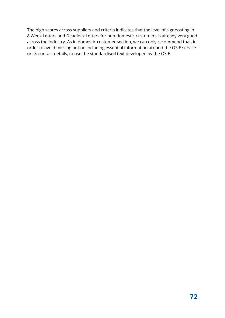The high scores across suppliers and criteria indicates that the level of signposting in 8 Week Letters and Deadlock Letters for non-domestic customers is already very good across the industry. As in domestic customer section, we can only recommend that, in order to avoid missing out on including essential information around the OS:E service or its contact details, to use the standardised text developed by the OS:E.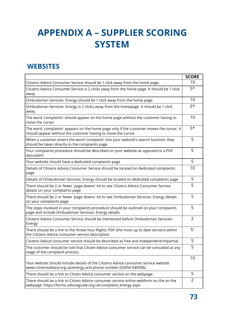## **APPENDIX A – SUPPLIER SCORING SYSTEM**

#### **WEBSITES**

|                                                                                                                                                           | <b>SCORE</b>   |
|-----------------------------------------------------------------------------------------------------------------------------------------------------------|----------------|
| Citizens Advice Consumer Service should be 1 click away from the home page.                                                                               | 10             |
| Citizens Advice Consumer Service is 2 clicks away from the home page. It should be 1 click<br>away.                                                       | $5*$           |
| Ombudsman Services: Energy should be 1 click away from the home page.                                                                                     | 10             |
| Ombudsman Services: Energy is 2 clicks away from the homepage. It should be 1 click<br>away.                                                              | $5*$           |
| The word 'complaints' should appear on the home page without the customer having to<br>move the cursor.                                                   | 10             |
| The word 'complaints' appears on the home page only if the customer moves the cursor. It<br>should appear without the customer having to move the cursor. | $5*$           |
| When a customer enters the word 'complaint' into your website's search function, they<br>should be taken directly to the complaints page                  | 5              |
| Your complaints procedure should be described on your website as opposed to a PDF<br>document                                                             | 5              |
| Your website should have a dedicated complaints page                                                                                                      | 5              |
| Details of Citizens Advice Consumer Service should be located on dedicated complaints<br>page                                                             | 10             |
| Details of Ombudsman Services: Energy should be located on dedicated complaints page                                                                      | 5              |
| There should be 2 or fewer 'page downs' hit to see Citizens Advice Consumer Service<br>details on your complaints page                                    | 5              |
| There should be 2 or fewer 'page downs' hit to see Ombudsman Services: Energy details<br>on your complaints page                                          | 5              |
| The steps involved in your complaints procedure should be outlined on your complaints<br>page and include Ombudsman Services: Energy details              | 5              |
| Citizens Advice Consumer Service should be mentioned before Ombudsman Services:<br>Energy                                                                 | $\overline{2}$ |
| There should be a link to the 'Know Your Rights' PDF (the most up to date version) within<br>the Citizens Advice consumer service description.            | $5^*$          |
| Citizens Advice consumer service should be described as free and independent/impartial.                                                                   | 5              |
| The customer should be told that Citizen Advice consumer service can be consulted at any<br>stage of the complaint process.                               | 5              |
| Your website should include details of the Citizens Advice consumer service website<br>www.citizensadvice.org.uk/energy and phone number (03454 040506).  | 10             |
| There should be a link to Citizen Advice consumer service on the webpage.                                                                                 | 5              |
| There should be a link to Citizen Advice consumer service online webform on the on the<br>webpage: https://forms.adviceguide.org.uk/complaint_energy.aspx | $\overline{2}$ |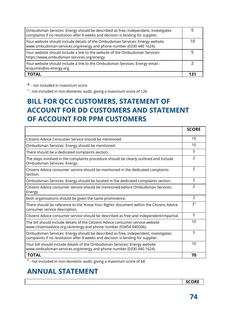| Ombudsman Services: Energy should be described as free, independent, investigates<br>complaints if no resolution after 8 weeks and decision is binding for supplier. |     |
|----------------------------------------------------------------------------------------------------------------------------------------------------------------------|-----|
| Your website should include details of the Ombudsman Services: Energy website<br>www.ombudsman-services.org/energy and phone number (0330 440 1624).                 | 10  |
| Your website should include a link to the website of the Ombudsman Services:<br>https://www.ombudsman-services.org/energy.                                           |     |
| Your website should include a link to the Ombudsman Services: Energy email -<br>enquiries@os-energy.org                                                              |     |
| <b>TOTAL</b>                                                                                                                                                         | 131 |

\* - not included in maximum score

+ - not included in non-domestic audit, giving a maximum score of 126

### **BILL FOR QCC CUSTOMERS, STATEMENT OF ACCOUNT FOR DD CUSTOMERS AND STATEMENT OF ACCOUNT FOR PPM CUSTOMERS**

|                                                                                                                                                                      | <b>SCORE</b>   |
|----------------------------------------------------------------------------------------------------------------------------------------------------------------------|----------------|
| Citizens Advice Consumer Service should be mentioned.                                                                                                                | 10             |
| Ombudsman Services: Energy should be mentioned.                                                                                                                      | 10             |
| There should be a dedicated complaints section.                                                                                                                      | 5              |
| The steps involved in the complaints procedure should be clearly outlined and include<br>Ombudsman Services: Energy.                                                 | 2              |
| Citizens Advice consumer service should be mentioned in the dedicated complaints<br>section.                                                                         | 5              |
| Ombudsman Services: Energy should be located in the dedicated complaints section.                                                                                    | $\overline{2}$ |
| Citizens Advice consumer service should be mentioned before Ombudsman Services:<br>Energy.                                                                           | $\mathcal{P}$  |
| Both organisations should be given the same prominence.                                                                                                              | $\mathcal{P}$  |
| There should be reference to the 'Know Your Rights' document within the Citizens Advice<br>consumer service description.                                             | $2^+$          |
| Citizens Advice consumer service should be described as free and independent/impartial.                                                                              | 5              |
| The bill should include details of the Citizens Advice consumer service website<br>www.citizensadvice.org.uk/energy and phone number (03454 040506).                 | 10             |
| Ombudsman Services: Energy should be described as free, independent, investigates<br>complaints if no resolution after 8 weeks and decision is binding for supplier. | 5              |
| Your bill should include details of the Ombudsman Services: Energy website<br>www.ombudsman-services.org/energy and phone number (0330 440 1624).                    | 10             |
| <b>TOTAL</b>                                                                                                                                                         | 70             |

**+** - not included in non-domestic audit, giving a maximum score of 68

#### **ANNUAL STATEMENT**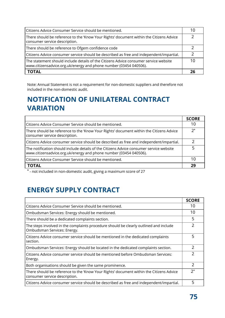| Citizens Advice Consumer Service should be mentioned.                                                                                                     | 10            |
|-----------------------------------------------------------------------------------------------------------------------------------------------------------|---------------|
| There should be reference to the 'Know Your Rights' document within the Citizens Advice<br>consumer service description.                                  |               |
| There should be reference to Ofgem confidence code                                                                                                        | $\mathcal{L}$ |
| Citizens Advice consumer service should be described as free and independent/impartial.                                                                   | $\mathcal{L}$ |
| The statement should include details of the Citizens Advice consumer service website<br>www.citizensadvice.org.uk/energy and phone number (03454 040506). | 10            |
| <b>TOTAL</b>                                                                                                                                              | 26            |

Note: Annual Statement is not a requirement for non-domestic suppliers and therefore not included in the non-domestic audit.

#### **NOTIFICATION OF UNILATERAL CONTRACT VARIATION**

|                                                                                                                                                              | <b>SCORE</b> |
|--------------------------------------------------------------------------------------------------------------------------------------------------------------|--------------|
| Citizens Advice Consumer Service should be mentioned.                                                                                                        | 10           |
| There should be reference to the 'Know Your Rights' document within the Citizens Advice<br>consumer service description.                                     | $2^+$        |
| Citizens Advice consumer service should be described as free and independent/impartial.                                                                      |              |
| The notification should include details of the Citizens Advice consumer service website<br>www.citizensadvice.org.uk/energy and phone number (03454 040506). |              |
| Citizens Advice Consumer Service should be mentioned.                                                                                                        | 10           |
| <b>TOTAL</b>                                                                                                                                                 | 29           |

**+** - not included in non-domestic audit, giving a maximum score of 27

## **ENERGY SUPPLY CONTRACT**

|                                                                                                                          | <b>SCORE</b>   |
|--------------------------------------------------------------------------------------------------------------------------|----------------|
| Citizens Advice Consumer Service should be mentioned.                                                                    | 10             |
| Ombudsman Services: Energy should be mentioned.                                                                          | 10             |
| There should be a dedicated complaints section.                                                                          | 5              |
| The steps involved in the complaints procedure should be clearly outlined and include<br>Ombudsman Services: Energy.     | $\overline{2}$ |
| Citizens Advice consumer service should be mentioned in the dedicated complaints<br>section.                             | 5              |
| Ombudsman Services: Energy should be located in the dedicated complaints section.                                        | 2              |
| Citizens Advice consumer service should be mentioned before Ombudsman Services:<br>Energy.                               | $\overline{2}$ |
| Both organisations should be given the same prominence.                                                                  | 2              |
| There should be reference to the 'Know Your Rights' document within the Citizens Advice<br>consumer service description. | $2^+$          |
| Citizens Advice consumer service should be described as free and independent/impartial.                                  | 5              |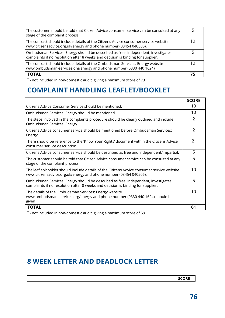| The customer should be told that Citizen Advice consumer service can be consulted at any<br>stage of the complaint process.                                          |    |
|----------------------------------------------------------------------------------------------------------------------------------------------------------------------|----|
| The contract should include details of the Citizens Advice consumer service website<br>www.citizensadvice.org.uk/energy and phone number (03454 040506).             | 10 |
| Ombudsman Services: Energy should be described as free, independent, investigates<br>complaints if no resolution after 8 weeks and decision is binding for supplier. |    |
| The contract should include details of the Ombudsman Services: Energy website<br>www.ombudsman-services.org/energy and phone number (0330 440 1624).                 | 10 |
| <b>TOTAL</b>                                                                                                                                                         | 75 |

**+** - not included in non-domestic audit, giving a maximum score of 73

#### **COMPLAINT HANDLING LEAFLET/BOOKLET**

|                                                                                                                                                                      | <b>SCORE</b>   |
|----------------------------------------------------------------------------------------------------------------------------------------------------------------------|----------------|
| Citizens Advice Consumer Service should be mentioned.                                                                                                                | 10             |
| Ombudsman Services: Energy should be mentioned.                                                                                                                      | 10             |
| The steps involved in the complaints procedure should be clearly outlined and include<br>Ombudsman Services: Energy.                                                 | $\overline{2}$ |
| Citizens Advice consumer service should be mentioned before Ombudsman Services:<br>Energy.                                                                           | $\overline{2}$ |
| There should be reference to the 'Know Your Rights' document within the Citizens Advice<br>consumer service description.                                             | $2^+$          |
| Citizens Advice consumer service should be described as free and independent/impartial.                                                                              | 5              |
| The customer should be told that Citizen Advice consumer service can be consulted at any<br>stage of the complaint process.                                          | 5              |
| The leaflet/booklet should include details of the Citizens Advice consumer service website<br>www.citizensadvice.org.uk/energy and phone number (03454 040506).      | 10             |
| Ombudsman Services: Energy should be described as free, independent, investigates<br>complaints if no resolution after 8 weeks and decision is binding for supplier. | 5              |
| The details of the Ombudsman Services: Energy website<br>www.ombudsman-services.org/energy and phone number (0330 440 1624) should be<br>given                       | 10             |
| <b>TOTAL</b>                                                                                                                                                         | 61             |

**+** - not included in non-domestic audit, giving a maximum score of 59

#### **8 WEEK LETTER AND DEADLOCK LETTER**

**SCORE**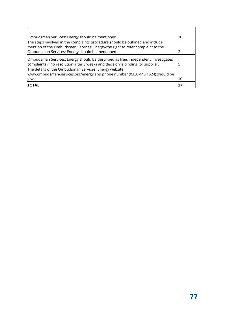| Ombudsman Services: Energy should be mentioned.                                                                                                                      | 10  |
|----------------------------------------------------------------------------------------------------------------------------------------------------------------------|-----|
| The steps involved in the complaints procedure should be outlined and include                                                                                        |     |
| mention of the Ombudsman Services: Energy/the right to refer complaint to the                                                                                        |     |
| Ombudsman Services: Energy should be mentioned                                                                                                                       |     |
| Ombudsman Services: Energy should be described as free, independent, investigates<br>complaints if no resolution after 8 weeks and decision is binding for supplier. |     |
| The details of the Ombudsman Services: Energy website                                                                                                                |     |
| www.ombudsman-services.org/energy and phone number (0330 440 1624) should be                                                                                         |     |
| given                                                                                                                                                                | l10 |
| <b>TOTAL</b>                                                                                                                                                         |     |